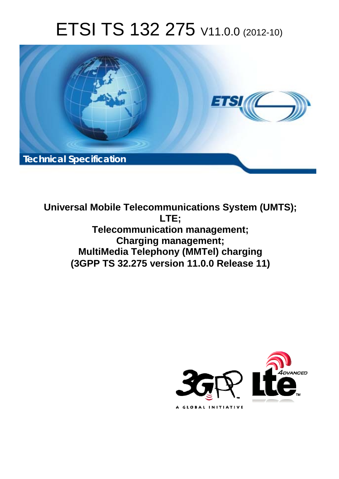# ETSI TS 132 275 V11.0.0 (2012-10)



**Universal Mobile Telecommunications System (UMTS); LTE; Telecommunication management; Charging management; MultiMedia Telephony (MMTel) charging (3GPP TS 32.275 version 11.0.0 Release 11)** 

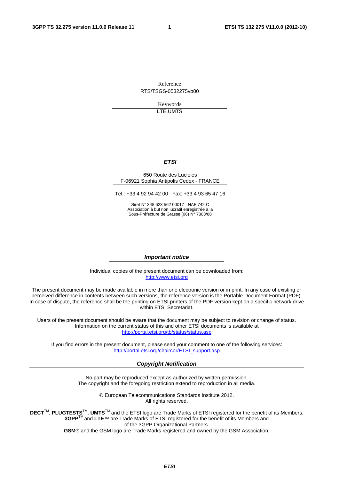Reference RTS/TSGS-0532275vb00

> Keywords LTE,UMTS

#### *ETSI*

#### 650 Route des Lucioles F-06921 Sophia Antipolis Cedex - FRANCE

Tel.: +33 4 92 94 42 00 Fax: +33 4 93 65 47 16

Siret N° 348 623 562 00017 - NAF 742 C Association à but non lucratif enregistrée à la Sous-Préfecture de Grasse (06) N° 7803/88

#### *Important notice*

Individual copies of the present document can be downloaded from: [http://www.etsi.org](http://www.etsi.org/)

The present document may be made available in more than one electronic version or in print. In any case of existing or perceived difference in contents between such versions, the reference version is the Portable Document Format (PDF). In case of dispute, the reference shall be the printing on ETSI printers of the PDF version kept on a specific network drive within ETSI Secretariat.

Users of the present document should be aware that the document may be subject to revision or change of status. Information on the current status of this and other ETSI documents is available at <http://portal.etsi.org/tb/status/status.asp>

If you find errors in the present document, please send your comment to one of the following services: [http://portal.etsi.org/chaircor/ETSI\\_support.asp](http://portal.etsi.org/chaircor/ETSI_support.asp)

#### *Copyright Notification*

No part may be reproduced except as authorized by written permission. The copyright and the foregoing restriction extend to reproduction in all media.

> © European Telecommunications Standards Institute 2012. All rights reserved.

DECT<sup>™</sup>, PLUGTESTS<sup>™</sup>, UMTS<sup>™</sup> and the ETSI logo are Trade Marks of ETSI registered for the benefit of its Members. **3GPP**TM and **LTE**™ are Trade Marks of ETSI registered for the benefit of its Members and of the 3GPP Organizational Partners.

**GSM**® and the GSM logo are Trade Marks registered and owned by the GSM Association.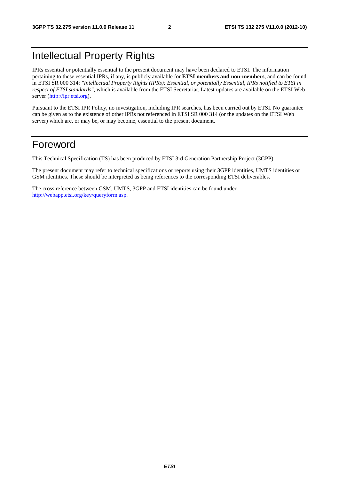### Intellectual Property Rights

IPRs essential or potentially essential to the present document may have been declared to ETSI. The information pertaining to these essential IPRs, if any, is publicly available for **ETSI members and non-members**, and can be found in ETSI SR 000 314: *"Intellectual Property Rights (IPRs); Essential, or potentially Essential, IPRs notified to ETSI in respect of ETSI standards"*, which is available from the ETSI Secretariat. Latest updates are available on the ETSI Web server [\(http://ipr.etsi.org](http://webapp.etsi.org/IPR/home.asp)).

Pursuant to the ETSI IPR Policy, no investigation, including IPR searches, has been carried out by ETSI. No guarantee can be given as to the existence of other IPRs not referenced in ETSI SR 000 314 (or the updates on the ETSI Web server) which are, or may be, or may become, essential to the present document.

### Foreword

This Technical Specification (TS) has been produced by ETSI 3rd Generation Partnership Project (3GPP).

The present document may refer to technical specifications or reports using their 3GPP identities, UMTS identities or GSM identities. These should be interpreted as being references to the corresponding ETSI deliverables.

The cross reference between GSM, UMTS, 3GPP and ETSI identities can be found under <http://webapp.etsi.org/key/queryform.asp>.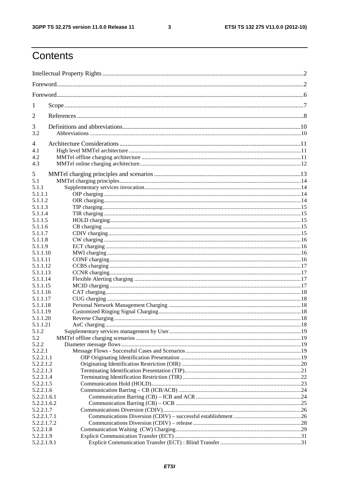$\mathbf{3}$ 

## Contents

| 1                    |  |  |  |
|----------------------|--|--|--|
| $\overline{2}$       |  |  |  |
| 3                    |  |  |  |
| 3.2                  |  |  |  |
| 4                    |  |  |  |
| 4.1                  |  |  |  |
| 4.2                  |  |  |  |
| 4.3                  |  |  |  |
| 5                    |  |  |  |
| 5.1                  |  |  |  |
| 5.1.1                |  |  |  |
| 5.1.1.1              |  |  |  |
| 5.1.1.2              |  |  |  |
| 5.1.1.3              |  |  |  |
| 5.1.1.4              |  |  |  |
| 5.1.1.5              |  |  |  |
| 5.1.1.6              |  |  |  |
| 5.1.1.7              |  |  |  |
| 5.1.1.8              |  |  |  |
| 5.1.1.9              |  |  |  |
| 5.1.1.10             |  |  |  |
| 5.1.1.11<br>5.1.1.12 |  |  |  |
| 5.1.1.13             |  |  |  |
| 5.1.1.14             |  |  |  |
| 5.1.1.15             |  |  |  |
| 5.1.1.16             |  |  |  |
| 5.1.1.17             |  |  |  |
| 5.1.1.18             |  |  |  |
| 5.1.1.19             |  |  |  |
| 5.1.1.20             |  |  |  |
| 5.1.1.21             |  |  |  |
| 5.1.2                |  |  |  |
| 5.2                  |  |  |  |
| 5.2.2                |  |  |  |
| 5.2.2.1<br>5.2.2.1.1 |  |  |  |
| 5.2.2.1.2            |  |  |  |
| 5.2.2.1.3            |  |  |  |
| 5.2.2.1.4            |  |  |  |
| 5.2.2.1.5            |  |  |  |
| 5.2.2.1.6            |  |  |  |
| 5.2.2.1.6.1          |  |  |  |
| 5.2.2.1.6.2          |  |  |  |
| 5.2.2.1.7            |  |  |  |
| 5.2.2.1.7.1          |  |  |  |
| 5.2.2.1.7.2          |  |  |  |
| 5.2.2.1.8            |  |  |  |
| 5.2.2.1.9            |  |  |  |
| 5.2.2.1.9.1          |  |  |  |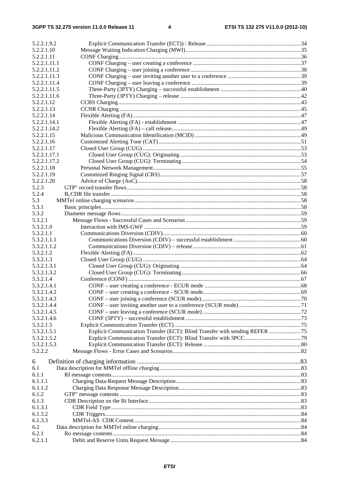| 5.2.2.1.9.2  |                                                                              |  |
|--------------|------------------------------------------------------------------------------|--|
| 5.2.2.1.10   |                                                                              |  |
| 5.2.2.1.11   |                                                                              |  |
| 5.2.2.1.11.1 |                                                                              |  |
| 5.2.2.1.11.2 |                                                                              |  |
| 5.2.2.1.11.3 |                                                                              |  |
| 5.2.2.1.11.4 |                                                                              |  |
| 5.2.2.1.11.5 |                                                                              |  |
| 5.2.2.1.11.6 |                                                                              |  |
| 5.2.2.1.12   |                                                                              |  |
| 5.2.2.1.13   |                                                                              |  |
| 5.2.2.1.14   |                                                                              |  |
| 5.2.2.1.14.1 |                                                                              |  |
| 5.2.2.1.14.2 |                                                                              |  |
| 5.2.2.1.15   |                                                                              |  |
| 5.2.2.1.16   |                                                                              |  |
| 5.2.2.1.17   |                                                                              |  |
| 5.2.2.1.17.1 |                                                                              |  |
| 5.2.2.1.17.2 |                                                                              |  |
| 5.2.2.1.18   |                                                                              |  |
| 5.2.2.1.19   |                                                                              |  |
|              |                                                                              |  |
| 5.2.2.1.20   |                                                                              |  |
| 5.2.3        |                                                                              |  |
| 5.2.4        |                                                                              |  |
| 5.3          |                                                                              |  |
| 5.3.1        |                                                                              |  |
| 5.3.2        |                                                                              |  |
| 5.3.2.1      |                                                                              |  |
| 5.3.2.1.0    |                                                                              |  |
| 5.3.2.1.1    |                                                                              |  |
| 5.3.2.1.1.1  |                                                                              |  |
| 5.3.2.1.1.2  |                                                                              |  |
| 5.3.2.1.2    |                                                                              |  |
| 5.3.2.1.3    |                                                                              |  |
| 5.3.2.1.3.1  |                                                                              |  |
| 5.3.2.1.3.2  |                                                                              |  |
| 5.3.2.1.4    |                                                                              |  |
| 5.3.2.1.4.1  |                                                                              |  |
| 5.3.2.1.4.2  |                                                                              |  |
| 5.3.2.1.4.3  |                                                                              |  |
| 5.3.2.1.4.4  |                                                                              |  |
| 5.3.2.1.4.5  |                                                                              |  |
| 5.3.2.1.4.6  |                                                                              |  |
| 5.3.2.1.5    |                                                                              |  |
| 5.3.2.1.5.1  | Explicit Communication Transfer (ECT): Blind Transfer with sending REFER  75 |  |
| 5.3.2.1.5.2  |                                                                              |  |
| 5.3.2.1.5.3  |                                                                              |  |
| 5.2.2.2      |                                                                              |  |
|              |                                                                              |  |
| 6            |                                                                              |  |
| 6.1          |                                                                              |  |
| 6.1.1        |                                                                              |  |
| 6.1.1.1      |                                                                              |  |
| 6.1.1.2      |                                                                              |  |
| 6.1.2        |                                                                              |  |
| 6.1.3        |                                                                              |  |
| 6.1.3.1      |                                                                              |  |
| 6.1.3.2      |                                                                              |  |
| 6.1.3.3      |                                                                              |  |
| 6.2          |                                                                              |  |
| 6.2.1        |                                                                              |  |
| 6.2.1.1      |                                                                              |  |
|              |                                                                              |  |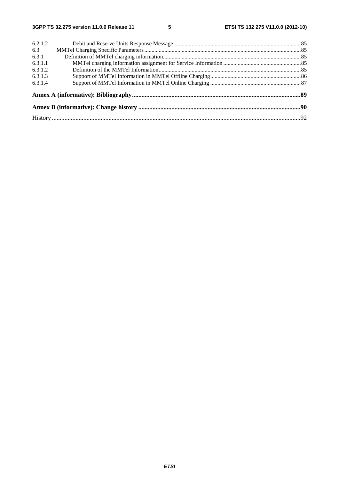| 6.2.1.2 |  |  |  |  |
|---------|--|--|--|--|
| 6.3     |  |  |  |  |
| 6.3.1   |  |  |  |  |
| 6.3.1.1 |  |  |  |  |
| 6.3.1.2 |  |  |  |  |
| 6.3.1.3 |  |  |  |  |
| 6.3.1.4 |  |  |  |  |
|         |  |  |  |  |
|         |  |  |  |  |
|         |  |  |  |  |
|         |  |  |  |  |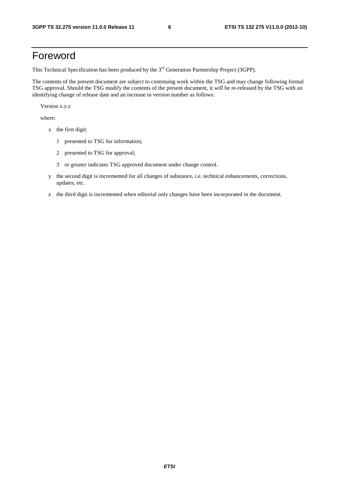### Foreword

This Technical Specification has been produced by the 3<sup>rd</sup> Generation Partnership Project (3GPP).

The contents of the present document are subject to continuing work within the TSG and may change following formal TSG approval. Should the TSG modify the contents of the present document, it will be re-released by the TSG with an identifying change of release date and an increase in version number as follows:

Version x.y.z

where:

- x the first digit:
	- 1 presented to TSG for information;
	- 2 presented to TSG for approval;
	- 3 or greater indicates TSG approved document under change control.
- y the second digit is incremented for all changes of substance, i.e. technical enhancements, corrections, updates, etc.
- z the third digit is incremented when editorial only changes have been incorporated in the document.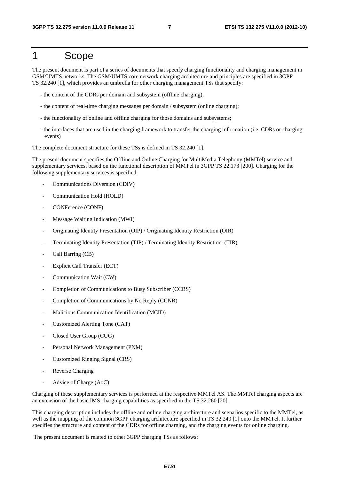### 1 Scope

The present document is part of a series of documents that specify charging functionality and charging management in GSM/UMTS networks. The GSM/UMTS core network charging architecture and principles are specified in 3GPP TS 32.240 [1], which provides an umbrella for other charging management TSs that specify:

- the content of the CDRs per domain and subsystem (offline charging),
- the content of real-time charging messages per domain / subsystem (online charging);
- the functionality of online and offline charging for those domains and subsystems;
- the interfaces that are used in the charging framework to transfer the charging information (i.e. CDRs or charging events)

The complete document structure for these TSs is defined in TS 32.240 [1].

The present document specifies the Offline and Online Charging for MultiMedia Telephony (MMTel) service and supplementary services, based on the functional description of MMTel in 3GPP TS 22.173 [200]. Charging for the following supplementary services is specified:

- Communications Diversion (CDIV)
- Communication Hold (HOLD)
- CONFerence (CONF)
- Message Waiting Indication (MWI)
- Originating Identity Presentation (OIP) / Originating Identity Restriction (OIR)
- Terminating Identity Presentation (TIP) / Terminating Identity Restriction (TIR)
- Call Barring (CB)
- Explicit Call Transfer (ECT)
- Communication Wait (CW)
- Completion of Communications to Busy Subscriber (CCBS)
- Completion of Communications by No Reply (CCNR)
- Malicious Communication Identification (MCID)
- Customized Alerting Tone (CAT)
- Closed User Group (CUG)
- Personal Network Management (PNM)
- Customized Ringing Signal (CRS)
- Reverse Charging
- Advice of Charge (AoC)

Charging of these supplementary services is performed at the respective MMTel AS. The MMTel charging aspects are an extension of the basic IMS charging capabilities as specified in the TS 32.260 [20].

This charging description includes the offline and online charging architecture and scenarios specific to the MMTel, as well as the mapping of the common 3GPP charging architecture specified in TS 32.240 [1] onto the MMTel. It further specifies the structure and content of the CDRs for offline charging, and the charging events for online charging.

The present document is related to other 3GPP charging TSs as follows: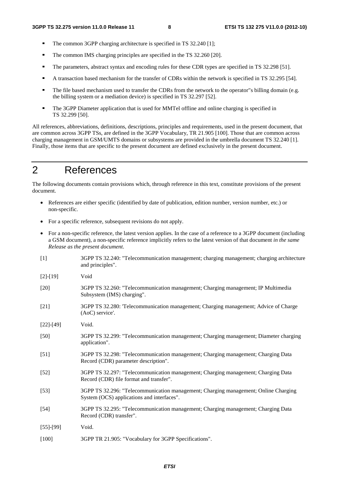- The common 3GPP charging architecture is specified in TS 32.240 [1];<br>The common IMS charging principles are specified in the TS 32.260 [2]
- The common IMS charging principles are specified in the TS 32.260 [20].<br>The parameters abstract syntax and encoding rules for these CDB types are
- The parameters, abstract syntax and encoding rules for these CDR types are specified in TS 32.298 [51].
- A transaction based mechanism for the transfer of CDRs within the network is specified in TS 32.295 [54].<br>The file based mechanism used to transfer the CDRs from the network to the operator"s billing domain (e.g.
- The file based mechanism used to transfer the CDRs from the network to the operator"s billing domain (e.g. the billing system or a mediation device) is specified in TS 32.297 [52].
- **The 3GPP Diameter application that is used for MMTel offline and online charging is specified in** TS 32.299 [50].

All references, abbreviations, definitions, descriptions, principles and requirements, used in the present document, that are common across 3GPP TSs, are defined in the 3GPP Vocabulary, TR 21.905 [100]. Those that are common across charging management in GSM/UMTS domains or subsystems are provided in the umbrella document TS 32.240 [1]. Finally, those items that are specific to the present document are defined exclusively in the present document.

### 2 References

The following documents contain provisions which, through reference in this text, constitute provisions of the present document.

- References are either specific (identified by date of publication, edition number, version number, etc.) or non-specific.
- For a specific reference, subsequent revisions do not apply.
- For a non-specific reference, the latest version applies. In the case of a reference to a 3GPP document (including a GSM document), a non-specific reference implicitly refers to the latest version of that document *in the same Release as the present document*.
- [1] 3GPP TS 32.240: "Telecommunication management; charging management; charging architecture and principles".
- [2]-[19] Void
- [20] 3GPP TS 32.260: "Telecommunication management; Charging management; IP Multimedia Subsystem (IMS) charging".
- [21] 3GPP TS 32.280: 'Telecommunication management; Charging management; Advice of Charge (AoC) service'.
- [22]-[49] Void.
- [50] 3GPP TS 32.299: "Telecommunication management; Charging management; Diameter charging application".
- [51] 3GPP TS 32.298: "Telecommunication management; Charging management; Charging Data Record (CDR) parameter description".
- [52] 3GPP TS 32.297: "Telecommunication management; Charging management; Charging Data Record (CDR) file format and transfer".
- [53] 3GPP TS 32.296: "Telecommunication management; Charging management; Online Charging System (OCS) applications and interfaces".
- [54] 3GPP TS 32.295: "Telecommunication management; Charging management; Charging Data Record (CDR) transfer".
- [55]-[99] Void.
- [100] 3GPP TR 21.905: "Vocabulary for 3GPP Specifications".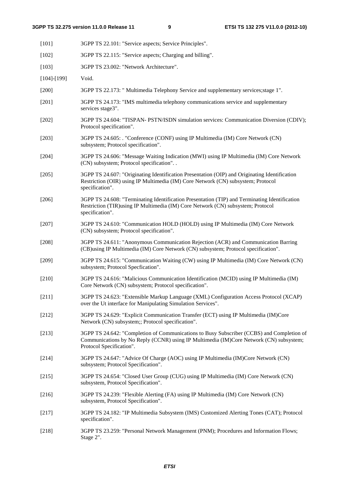| $[101]$           | 3GPP TS 22.101: "Service aspects; Service Principles".                                                                                                                                                          |  |  |
|-------------------|-----------------------------------------------------------------------------------------------------------------------------------------------------------------------------------------------------------------|--|--|
| $[102]$           | 3GPP TS 22.115: "Service aspects; Charging and billing".                                                                                                                                                        |  |  |
| [103]             | 3GPP TS 23.002: "Network Architecture".                                                                                                                                                                         |  |  |
| $[104]$ - $[199]$ | Void.                                                                                                                                                                                                           |  |  |
| $[200]$           | 3GPP TS 22.173: " Multimedia Telephony Service and supplementary services; stage 1".                                                                                                                            |  |  |
| [201]             | 3GPP TS 24.173: "IMS multimedia telephony communications service and supplementary<br>services stage3".                                                                                                         |  |  |
| $[202]$           | 3GPP TS 24.604: "TISPAN- PSTN/ISDN simulation services: Communication Diversion (CDIV);<br>Protocol specification".                                                                                             |  |  |
| $[203]$           | 3GPP TS 24.605: . "Conference (CONF) using IP Multimedia (IM) Core Network (CN)<br>subsystem; Protocol specification".                                                                                          |  |  |
| $[204]$           | 3GPP TS 24.606: "Message Waiting Indication (MWI) using IP Multimedia (IM) Core Network<br>(CN) subsystem; Protocol specification". .                                                                           |  |  |
| $[205]$           | 3GPP TS 24.607: "Originating Identification Presentation (OIP) and Originating Identification<br>Restriction (OIR) using IP Multimedia (IM) Core Network (CN) subsystem; Protocol<br>specification".            |  |  |
| [206]             | 3GPP TS 24.608: "Terminating Identification Presentation (TIP) and Terminating Identification<br>Restriction (TIR) using IP Multimedia (IM) Core Network (CN) subsystem; Protocol<br>specification".            |  |  |
| $[207]$           | 3GPP TS 24.610: "Communication HOLD (HOLD) using IP Multimedia (IM) Core Network<br>(CN) subsystem; Protocol specification".                                                                                    |  |  |
| $[208]$           | 3GPP TS 24.611: "Anonymous Communication Rejection (ACR) and Communication Barring<br>(CB) using IP Multimedia (IM) Core Network (CN) subsystem; Protocol specification".                                       |  |  |
| [209]             | 3GPP TS 24.615: "Communication Waiting (CW) using IP Multimedia (IM) Core Network (CN)<br>subsystem; Protocol Specfication".                                                                                    |  |  |
| $[210]$           | 3GPP TS 24.616: "Malicious Communication Identification (MCID) using IP Multimedia (IM)<br>Core Network (CN) subsystem; Protocol specification".                                                                |  |  |
| $[211]$           | 3GPP TS 24.623: "Extensible Markup Language (XML) Configuration Access Protocol (XCAP)<br>over the Ut interface for Manipulating Simulation Services".                                                          |  |  |
| $[212]$           | 3GPP TS 24.629: "Explicit Communication Transfer (ECT) using IP Multimedia (IM)Core<br>Network (CN) subsystem;; Protocol specification".                                                                        |  |  |
| [213]             | 3GPP TS 24.642: "Completion of Communications to Busy Subscriber (CCBS) and Completion of<br>Communications by No Reply (CCNR) using IP Multimedia (IM)Core Network (CN) subsystem;<br>Protocol Specification". |  |  |
| [214]             | 3GPP TS 24.647: "Advice Of Charge (AOC) using IP Multimedia (IM)Core Network (CN)<br>subsystem; Protocol Specification".                                                                                        |  |  |
| $[215]$           | 3GPP TS 24.654: "Closed User Group (CUG) using IP Multimedia (IM) Core Network (CN)<br>subsystem, Protocol Specification".                                                                                      |  |  |
| $[216]$           | 3GPP TS 24.239: "Flexible Alerting (FA) using IP Multimedia (IM) Core Network (CN)<br>subsystem, Protocol Specification".                                                                                       |  |  |
| $[217]$           | 3GPP TS 24.182: "IP Multimedia Subsystem (IMS) Customized Alerting Tones (CAT); Protocol<br>specification".                                                                                                     |  |  |
| $[218]$           | 3GPP TS 23.259: "Personal Network Management (PNM); Procedures and Information Flows;<br>Stage 2".                                                                                                              |  |  |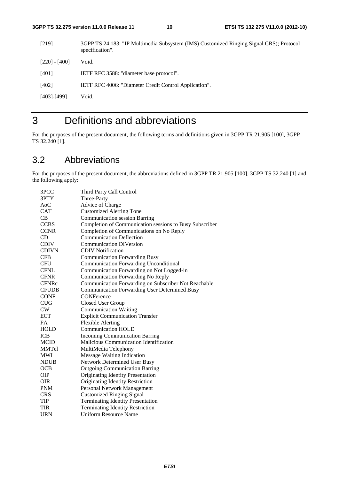[219] 3GPP TS 24.183: "IP Multimedia Subsystem (IMS) Customized Ringing Signal CRS); Protocol specification". [220] - [400] Void. [401] IETF RFC 3588: "diameter base protocol". [402] IETF RFC 4006: "Diameter Credit Control Application". [403]-[499] Void.

### 3 Definitions and abbreviations

For the purposes of the present document, the following terms and definitions given in 3GPP TR 21.905 [100], 3GPP TS 32.240 [1].

### 3.2 Abbreviations

For the purposes of the present document, the abbreviations defined in 3GPP TR 21.905 [100], 3GPP TS 32.240 [1] and the following apply:

| 3PCC         | Third Party Call Control                                |
|--------------|---------------------------------------------------------|
| 3PTY         | Three-Party                                             |
| AoC          | Advice of Charge                                        |
| <b>CAT</b>   | <b>Customized Alerting Tone</b>                         |
| CB           | <b>Communication session Barring</b>                    |
| <b>CCBS</b>  | Completion of Communication sessions to Busy Subscriber |
| <b>CCNR</b>  | Completion of Communications on No Reply                |
| CD           | <b>Communication Deflection</b>                         |
| <b>CDIV</b>  | <b>Communication DIVersion</b>                          |
| <b>CDIVN</b> | <b>CDIV</b> Notification                                |
| <b>CFB</b>   | <b>Communication Forwarding Busy</b>                    |
| <b>CFU</b>   | <b>Communication Forwarding Unconditional</b>           |
| <b>CFNL</b>  | Communication Forwarding on Not Logged-in               |
| <b>CFNR</b>  | Communication Forwarding No Reply                       |
| <b>CFNRc</b> | Communication Forwarding on Subscriber Not Reachable    |
| <b>CFUDB</b> | <b>Communication Forwarding User Determined Busy</b>    |
| <b>CONF</b>  | CONFerence                                              |
| <b>CUG</b>   | Closed User Group                                       |
| CW           | <b>Communication Waiting</b>                            |
| <b>ECT</b>   | <b>Explicit Communication Transfer</b>                  |
| <b>FA</b>    | <b>Flexible Alerting</b>                                |
| <b>HOLD</b>  | <b>Communication HOLD</b>                               |
| <b>ICB</b>   | <b>Incoming Communication Barring</b>                   |
| <b>MCID</b>  | Malicious Communication Identification                  |
| MMTel        | MultiMedia Telephony                                    |
| <b>MWI</b>   | <b>Message Waiting Indication</b>                       |
| <b>NDUB</b>  | <b>Network Determined User Busy</b>                     |
| <b>OCB</b>   | <b>Outgoing Communication Barring</b>                   |
| <b>OIP</b>   | Originating Identity Presentation                       |
| <b>OIR</b>   | Originating Identity Restriction                        |
| <b>PNM</b>   | Personal Network Management                             |
| <b>CRS</b>   | <b>Customized Ringing Signal</b>                        |
| TIP          | <b>Terminating Identity Presentation</b>                |
| <b>TIR</b>   | <b>Terminating Identity Restriction</b>                 |
| URN          | <b>Uniform Resource Name</b>                            |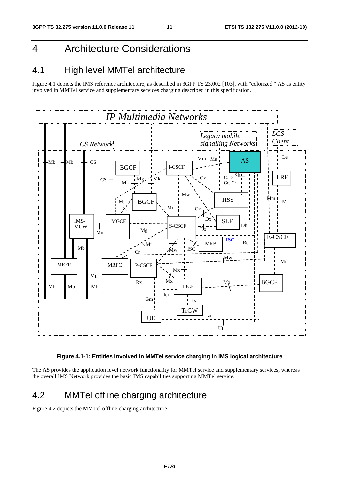### 4 Architecture Considerations

### 4.1 High level MMTel architecture

Figure 4.1 depicts the IMS reference architecture, as described in 3GPP TS 23.002 [103], with "colorized " AS as entity involved in MMTel service and supplementary services charging described in this specification.



#### **Figure 4.1-1: Entities involved in MMTel service charging in IMS logical architecture**

The AS provides the application level network functionality for MMTel service and supplementary services, whereas the overall IMS Network provides the basic IMS capabilities supporting MMTel service.

### 4.2 MMTel offline charging architecture

Figure 4.2 depicts the MMTel offline charging architecture.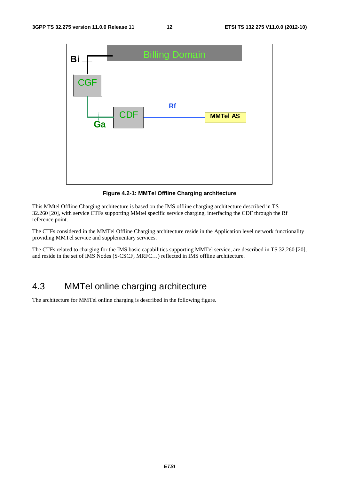

**Figure 4.2-1: MMTel Offline Charging architecture** 

This MMtel Offline Charging architecture is based on the IMS offline charging architecture described in TS 32.260 [20], with service CTFs supporting MMtel specific service charging, interfacing the CDF through the Rf reference point.

The CTFs considered in the MMTel Offline Charging architecture reside in the Application level network functionality providing MMTel service and supplementary services.

The CTFs related to charging for the IMS basic capabilities supporting MMTel service, are described in TS 32.260 [20], and reside in the set of IMS Nodes (S-CSCF, MRFC…) reflected in IMS offline architecture.

### 4.3 MMTel online charging architecture

The architecture for MMTel online charging is described in the following figure.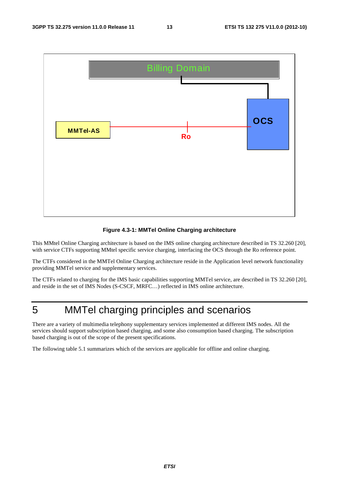

#### **Figure 4.3-1: MMTel Online Charging architecture**

This MMtel Online Charging architecture is based on the IMS online charging architecture described in TS 32.260 [20], with service CTFs supporting MMtel specific service charging, interfacing the OCS through the Ro reference point.

The CTFs considered in the MMTel Online Charging architecture reside in the Application level network functionality providing MMTel service and supplementary services.

The CTFs related to charging for the IMS basic capabilities supporting MMTel service, are described in TS 32.260 [20], and reside in the set of IMS Nodes (S-CSCF, MRFC…) reflected in IMS online architecture.

### 5 MMTel charging principles and scenarios

There are a variety of multimedia telephony supplementary services implemented at different IMS nodes. All the services should support subscription based charging, and some also consumption based charging. The subscription based charging is out of the scope of the present specifications.

The following table 5.1 summarizes which of the services are applicable for offline and online charging.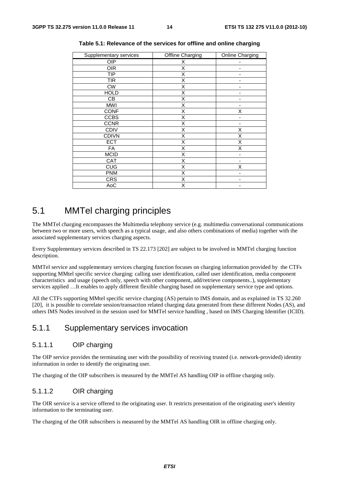| Supplementary services | Offline Charging | Online Charging |
|------------------------|------------------|-----------------|
| <b>OIP</b>             | X                |                 |
| <b>OIR</b>             | Χ                |                 |
| <b>TIP</b>             | X                |                 |
| <b>TIR</b>             | X                |                 |
| <b>CW</b>              | Χ                |                 |
| <b>HOLD</b>            | X                |                 |
| CВ                     | Χ                | -               |
| <b>MWI</b>             | X                |                 |
| <b>CONF</b>            | Χ                | X               |
| <b>CCBS</b>            | Χ                | -               |
| <b>CCNR</b>            | X                |                 |
| <b>CDIV</b>            | X                | Χ               |
| <b>CDIVN</b>           | Χ                | Χ               |
| <b>ECT</b>             | Χ                | Χ               |
| <b>FA</b>              | X                | Χ               |
| <b>MCID</b>            | Χ                | ٠               |
| CAT                    | X                |                 |
| CUG                    | X                | Χ               |
| <b>PNM</b>             | Χ                |                 |
| <b>CRS</b>             | Χ                |                 |
| AoC                    | X                | -               |

**Table 5.1: Relevance of the services for offline and online charging** 

### 5.1 MMTel charging principles

The MMTel charging encompasses the Multimedia telephony service (e.g. multimedia conversational communications between two or more users, with speech as a typical usage, and also others combinations of media) together with the associated supplementary services charging aspects.

Every Supplementary services described in TS 22.173 [202] are subject to be involved in MMTel charging function description.

MMTel service and supplementary services charging function focuses on charging information provided by the CTFs supporting MMtel specific service charging: calling user identification, called user identification, media component characteristics and usage (speech only, speech with other component, add/retrieve components..), supplementary services applied …It enables to apply different flexible charging based on supplementary service type and options.

All the CTFs supporting MMtel specific service charging (AS) pertain to IMS domain, and as explained in TS 32.260 [20], it is possible to correlate session/transaction related charging data generated from these different Nodes (AS), and others IMS Nodes involved in the session used for MMTel service handling , based on IMS Charging Identifier (ICID).

### 5.1.1 Supplementary services invocation

#### 5.1.1.1 OIP charging

The OIP service provides the terminating user with the possibility of receiving trusted (i.e. network-provided) identity information in order to identify the originating user.

The charging of the OIP subscribers is measured by the MMTel AS handling OIP in offline charging only.

#### 5.1.1.2 OIR charging

The OIR service is a service offered to the originating user. It restricts presentation of the originating user's identity information to the terminating user.

The charging of the OIR subscribers is measured by the MMTel AS handling OIR in offline charging only.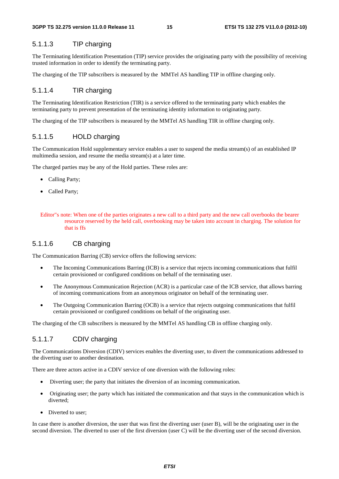#### 5.1.1.3 TIP charging

The Terminating Identification Presentation (TIP) service provides the originating party with the possibility of receiving trusted information in order to identify the terminating party.

The charging of the TIP subscribers is measured by the MMTel AS handling TIP in offline charging only.

#### 5.1.1.4 TIR charging

The Terminating Identification Restriction (TIR) is a service offered to the terminating party which enables the terminating party to prevent presentation of the terminating identity information to originating party.

The charging of the TIP subscribers is measured by the MMTel AS handling TIR in offline charging only.

#### 5.1.1.5 HOLD charging

The Communication Hold supplementary service enables a user to suspend the media stream(s) of an established IP multimedia session, and resume the media stream(s) at a later time.

The charged parties may be any of the Hold parties. These roles are:

- Calling Party;
- Called Party;

#### 5.1.1.6 CB charging

The Communication Barring (CB) service offers the following services:

- The Incoming Communications Barring (ICB) is a service that rejects incoming communications that fulfil certain provisioned or configured conditions on behalf of the terminating user.
- The Anonymous Communication Rejection (ACR) is a particular case of the ICB service, that allows barring of incoming communications from an anonymous originator on behalf of the terminating user.
- The Outgoing Communication Barring (OCB) is a service that rejects outgoing communications that fulfil certain provisioned or configured conditions on behalf of the originating user.

The charging of the CB subscribers is measured by the MMTel AS handling CB in offline charging only.

#### 5.1.1.7 CDIV charging

The Communications Diversion (CDIV) services enables the diverting user, to divert the communications addressed to the diverting user to another destination.

There are three actors active in a CDIV service of one diversion with the following roles:

- Diverting user; the party that initiates the diversion of an incoming communication.
- Originating user; the party which has initiated the communication and that stays in the communication which is diverted;
- Diverted to user:

In case there is another diversion, the user that was first the diverting user (user B), will be the originating user in the second diversion. The diverted to user of the first diversion (user C) will be the diverting user of the second diversion.

Editor"s note: When one of the parties originates a new call to a third party and the new call overbooks the bearer resource reserved by the held call, overbooking may be taken into account in charging. The solution for that is ffs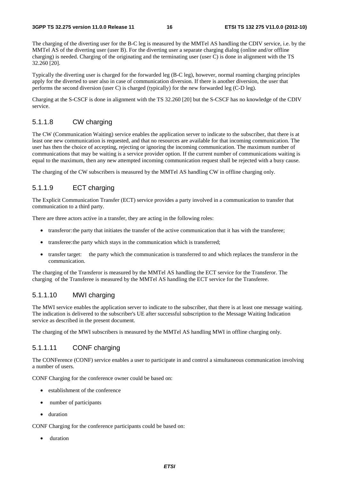#### **3GPP TS 32.275 version 11.0.0 Release 11 16 ETSI TS 132 275 V11.0.0 (2012-10)**

The charging of the diverting user for the B-C leg is measured by the MMTel AS handling the CDIV service, i.e. by the MMTel AS of the diverting user (user B). For the diverting user a separate charging dialog (online and/or offline charging) is needed. Charging of the originating and the terminating user (user C) is done in alignment with the TS 32.260 [20].

Typically the diverting user is charged for the forwarded leg (B-C leg), however, normal roaming charging principles apply for the diverted to user also in case of communication diversion. If there is another diversion, the user that performs the second diversion (user C) is charged (typically) for the new forwarded leg (C-D leg).

Charging at the S-CSCF is done in alignment with the TS 32.260 [20] but the S-CSCF has no knowledge of the CDIV service.

#### 5.1.1.8 CW charging

The CW (Communication Waiting) service enables the application server to indicate to the subscriber, that there is at least one new communication is requested, and that no resources are available for that incoming communication. The user has then the choice of accepting, rejecting or ignoring the incoming communication. The maximum number of communications that may be waiting is a service provider option. If the current number of communications waiting is equal to the maximum, then any new attempted incoming communication request shall be rejected with a busy cause.

The charging of the CW subscribers is measured by the MMTel AS handling CW in offline charging only.

#### 5.1.1.9 ECT charging

The Explicit Communication Transfer (ECT) service provides a party involved in a communication to transfer that communication to a third party.

There are three actors active in a transfer, they are acting in the following roles:

- transferor: the party that initiates the transfer of the active communication that it has with the transferee;
- transferee: the party which stays in the communication which is transferred;
- transfer target: the party which the communication is transferred to and which replaces the transferor in the communication.

The charging of the Transferor is measured by the MMTel AS handling the ECT service for the Transferor. The charging of the Transferee is measured by the MMTel AS handling the ECT service for the Transferee.

#### 5.1.1.10 MWI charging

The MWI service enables the application server to indicate to the subscriber, that there is at least one message waiting. The indication is delivered to the subscriber's UE after successful subscription to the Message Waiting Indication service as described in the present document.

The charging of the MWI subscribers is measured by the MMTel AS handling MWI in offline charging only.

#### 5.1.1.11 CONF charging

The CONFerence (CONF) service enables a user to participate in and control a simultaneous communication involving a number of users.

CONF Charging for the conference owner could be based on:

- establishment of the conference
- number of participants
- duration

CONF Charging for the conference participants could be based on:

duration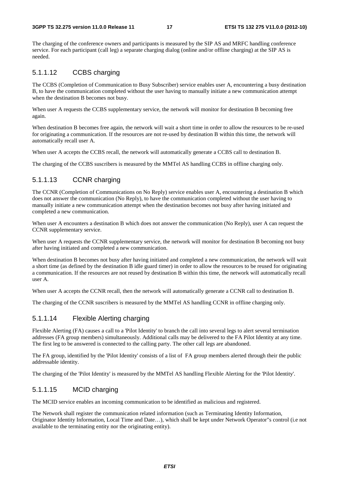#### **3GPP TS 32.275 version 11.0.0 Release 11 17 ETSI TS 132 275 V11.0.0 (2012-10)**

The charging of the conference owners and participants is measured by the SIP AS and MRFC handling conference service. For each participant (call leg) a separate charging dialog (online and/or offline charging) at the SIP AS is needed.

#### 5.1.1.12 CCBS charging

The CCBS (Completion of Communication to Busy Subscriber) service enables user A, encountering a busy destination B, to have the communication completed without the user having to manually initiate a new communication attempt when the destination B becomes not busy.

When user A requests the CCBS supplementary service, the network will monitor for destination B becoming free again.

When destination B becomes free again, the network will wait a short time in order to allow the resources to be re-used for originating a communication. If the resources are not re-used by destination B within this time, the network will automatically recall user A.

When user A accepts the CCBS recall, the network will automatically generate a CCBS call to destination B.

The charging of the CCBS suscribers is measured by the MMTel AS handling CCBS in offline charging only.

#### 5.1.1.13 CCNR charging

The CCNR (Completion of Communications on No Reply) service enables user A, encountering a destination B which does not answer the communication (No Reply), to have the communication completed without the user having to manually initiate a new communication attempt when the destination becomes not busy after having initiated and completed a new communication.

When user A encounters a destination B which does not answer the communication (No Reply), user A can request the CCNR supplementary service.

When user A requests the CCNR supplementary service, the network will monitor for destination B becoming not busy after having initiated and completed a new communication.

When destination B becomes not busy after having initiated and completed a new communication, the network will wait a short time (as defined by the destination B idle guard timer) in order to allow the resources to be reused for originating a communication. If the resources are not reused by destination B within this time, the network will automatically recall user A.

When user A accepts the CCNR recall, then the network will automatically generate a CCNR call to destination B.

The charging of the CCNR suscribers is measured by the MMTel AS handling CCNR in offline charging only.

#### 5.1.1.14 Flexible Alerting charging

Flexible Alerting (FA) causes a call to a 'Pilot Identity' to branch the call into several legs to alert several termination addresses (FA group members) simultaneously. Additional calls may be delivered to the FA Pilot Identity at any time. The first leg to be answered is connected to the calling party. The other call legs are abandoned.

The FA group, identified by the 'Pilot Identity' consists of a list of FA group members alerted through their the public addressable identity.

The charging of the 'Pilot Identity' is measured by the MMTel AS handling Flexible Alerting for the 'Pilot Identity'.

#### 5.1.1.15 MCID charging

The MCID service enables an incoming communication to be identified as malicious and registered.

The Network shall register the communication related information (such as Terminating Identity Information, Originator Identity Information, Local Time and Date…), which shall be kept under Network Operator"s control (i.e not available to the terminating entity nor the originating entity).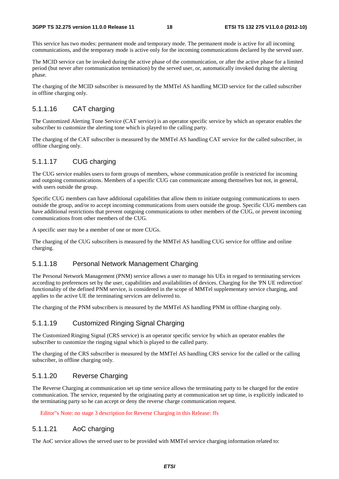This service has two modes: permanent mode and temporary mode. The permanent mode is active for all incoming communications, and the temporary mode is active only for the incoming communications declared by the served user.

The MCID service can be invoked during the active phase of the communication, or after the active phase for a limited period (but never after communication termination) by the served user, or, automatically invoked during the alerting phase.

The charging of the MCID subscriber is measured by the MMTel AS handling MCID service for the called subscriber in offline charging only.

#### 5.1.1.16 CAT charging

The Customized Alerting Tone Service (CAT service) is an operator specific service by which an operator enables the subscriber to customize the alerting tone which is played to the calling party.

The charging of the CAT subscriber is measured by the MMTel AS handling CAT service for the called subscriber, in offline charging only.

#### 5.1.1.17 CUG charging

The CUG service enables users to form groups of members, whose communication profile is restricted for incoming and outgoing communications. Members of a specific CUG can communicate among themselves but not, in general, with users outside the group.

Specific CUG members can have additional capabilities that allow them to initiate outgoing communications to users outside the group, and/or to accept incoming communications from users outside the group. Specific CUG members can have additional restrictions that prevent outgoing communications to other members of the CUG, or prevent incoming communications from other members of the CUG.

A specific user may be a member of one or more CUGs.

The charging of the CUG subscribers is measured by the MMTel AS handling CUG service for offline and online charging.

#### 5.1.1.18 Personal Network Management Charging

The Personal Network Management (PNM) service allows a user to manage his UEs in regard to terminating services according to preferences set by the user, capabilities and availabilities of devices. Charging for the 'PN UE redirection' functionality of the defined PNM service, is considered in the scope of MMTel supplementary service charging, and applies to the active UE the terminating services are delivered to.

The charging of the PNM subscribers is measured by the MMTel AS handling PNM in offline charging only.

#### 5.1.1.19 Customized Ringing Signal Charging

The Customized Ringing Signal (CRS service) is an operator specific service by which an operator enables the subscriber to customize the ringing signal which is played to the called party.

The charging of the CRS subscriber is measured by the MMTel AS handling CRS service for the called or the calling subscriber, in offline charging only.

#### 5.1.1.20 Reverse Charging

The Reverse Charging at communication set up time service allows the terminating party to be charged for the entire communication. The service, requested by the originating party at communication set up time, is explicitly indicated to the terminating party so he can accept or deny the reverse charge communication request.

Editor"s Note: no stage 3 description for Reverse Charging in this Release: ffs

#### 5.1.1.21 AoC charging

The AoC service allows the served user to be provided with MMTel service charging information related to: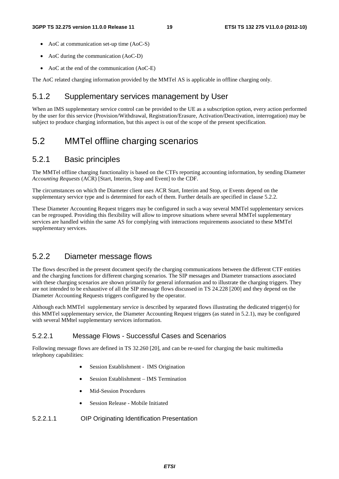- AoC at communication set-up time (AoC-S)
- AoC during the communication (AoC-D)
- AoC at the end of the communication (AoC-E)

The AoC related charging information provided by the MMTel AS is applicable in offline charging only.

#### 5.1.2 Supplementary services management by User

When an IMS supplementary service control can be provided to the UE as a subscription option, every action performed by the user for this service (Provision/Withdrawal, Registration/Erasure, Activation/Deactivation, interrogation) may be subject to produce charging information, but this aspect is out of the scope of the present specification.

### 5.2 MMTel offline charging scenarios

#### 5.2.1 Basic principles

The MMTel offline charging functionality is based on the CTFs reporting accounting information, by sending Diameter *Accounting Requests* (ACR) [Start, Interim, Stop and Event] to the CDF.

The circumstances on which the Diameter client uses ACR Start, Interim and Stop, or Events depend on the supplementary service type and is determined for each of them. Further details are specified in clause 5.2.2.

These Diameter Accounting Request triggers may be configured in such a way several MMTel supplementary services can be regrouped. Providing this flexibility will allow to improve situations where several MMTel supplementary services are handled within the same AS for complying with interactions requirements associated to these MMTel supplementary services.

#### 5.2.2 Diameter message flows

The flows described in the present document specify the charging communications between the different CTF entities and the charging functions for different charging scenarios. The SIP messages and Diameter transactions associated with these charging scenarios are shown primarily for general information and to illustrate the charging triggers. They are not intended to be exhaustive of all the SIP message flows discussed in TS 24.228 [200] and they depend on the Diameter Accounting Requests triggers configured by the operator.

Although each MMTel supplementary service is described by separated flows illustrating the dedicated trigger(s) for this MMTel supplementary service, the Diameter Accounting Request triggers (as stated in 5.2.1), may be configured with several MMtel supplementary services information.

#### 5.2.2.1 Message Flows - Successful Cases and Scenarios

Following message flows are defined in TS 32.260 [20], and can be re-used for charging the basic multimedia telephony capabilities:

- Session Establishment IMS Origination
- Session Establishment IMS Termination
- Mid-Session Procedures
- Session Release Mobile Initiated
- 5.2.2.1.1 OIP Originating Identification Presentation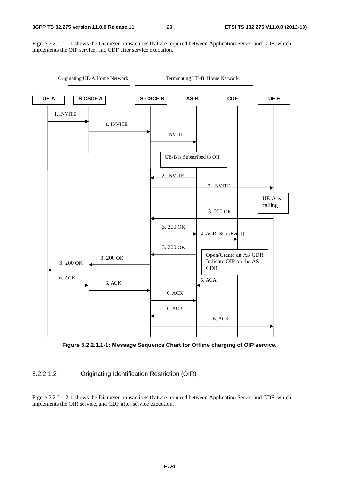Figure 5.2.2.1.1-1 shows the Diameter transactions that are required between Application Server and CDF, which implements the OIP service, and CDF after service execution.



**Figure 5.2.2.1.1-1: Message Sequence Chart for Offline charging of OIP service.** 

5.2.2.1.2 Originating Identification Restriction (OIR)

Figure 5.2.2.1.2-1 shows the Diameter transactions that are required between Application Server and CDF, which implements the OIR service, and CDF after service execution.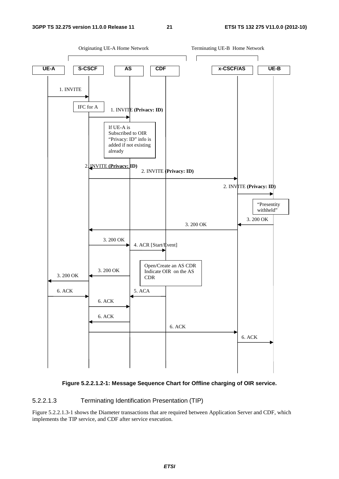



#### 5.2.2.1.3 Terminating Identification Presentation (TIP)

Figure 5.2.2.1.3-1 shows the Diameter transactions that are required between Application Server and CDF, which implements the TIP service, and CDF after service execution.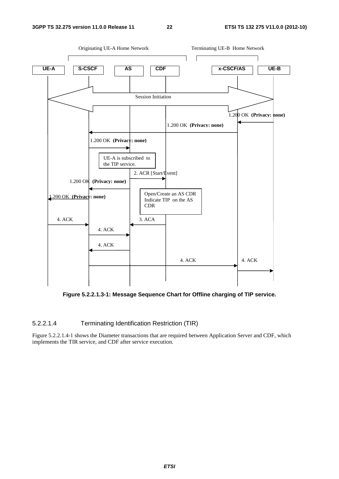

**Figure 5.2.2.1.3-1: Message Sequence Chart for Offline charging of TIP service.** 

#### 5.2.2.1.4 Terminating Identification Restriction (TIR)

Figure 5.2.2.1.4-1 shows the Diameter transactions that are required between Application Server and CDF, which implements the TIR service, and CDF after service execution.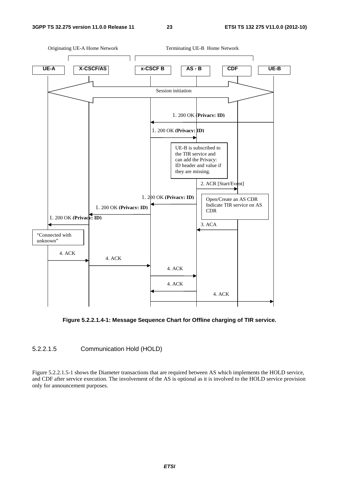

**Figure 5.2.2.1.4-1: Message Sequence Chart for Offline charging of TIR service.** 

#### 5.2.2.1.5 Communication Hold (HOLD)

Figure 5.2.2.1.5-1 shows the Diameter transactions that are required between AS which implements the HOLD service, and CDF after service execution. The involvement of the AS is optional as it is involved to the HOLD service provision only for announcement purposes.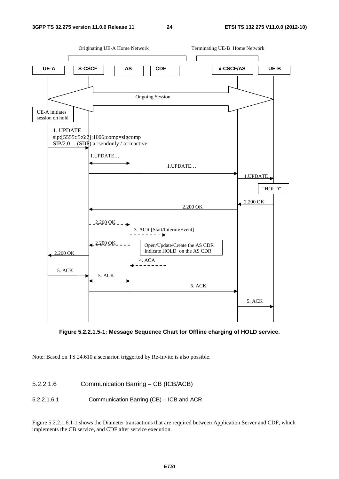

**Figure 5.2.2.1.5-1: Message Sequence Chart for Offline charging of HOLD service.** 

Note: Based on TS 24.610 a scenarion triggerted by Re-Invite is also possible.

5.2.2.1.6 Communication Barring – CB (ICB/ACB)

5.2.2.1.6.1 Communication Barring (CB) – ICB and ACR

Figure 5.2.2.1.6.1-1 shows the Diameter transactions that are required between Application Server and CDF, which implements the CB service, and CDF after service execution.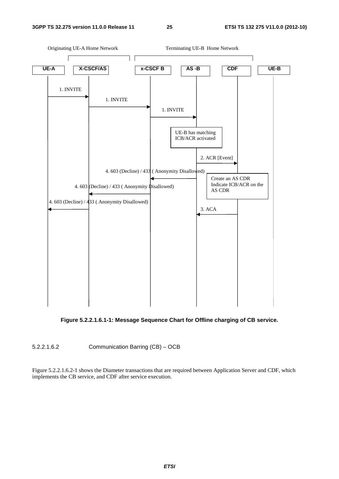#### **3GPP TS 32.275 version 11.0.0 Release 11 25 ETSI TS 132 275 V11.0.0 (2012-10)**



**Figure 5.2.2.1.6.1-1: Message Sequence Chart for Offline charging of CB service.** 

5.2.2.1.6.2 Communication Barring (CB) – OCB

Figure 5.2.2.1.6.2-1 shows the Diameter transactions that are required between Application Server and CDF, which implements the CB service, and CDF after service execution.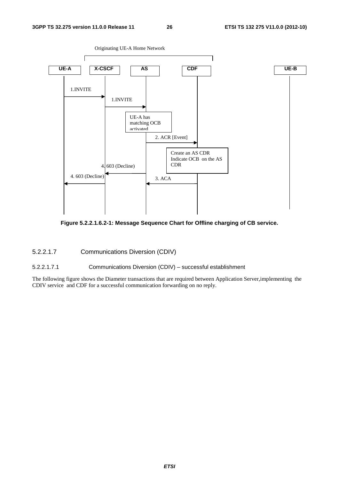

**Figure 5.2.2.1.6.2-1: Message Sequence Chart for Offline charging of CB service.** 

5.2.2.1.7 Communications Diversion (CDIV)

5.2.2.1.7.1 Communications Diversion (CDIV) – successful establishment

The following figure shows the Diameter transactions that are required between Application Server,implementing the CDIV service and CDF for a successful communication forwarding on no reply.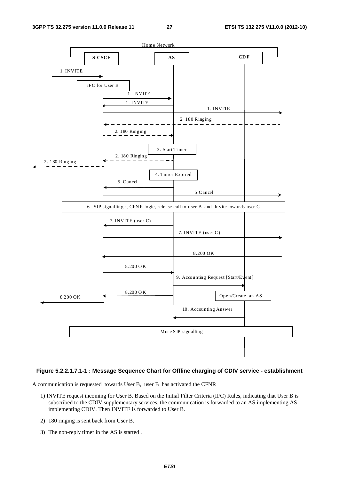

#### **Figure 5.2.2.1.7.1-1 : Message Sequence Chart for Offline charging of CDIV service - establishment**

A communication is requested towards User B, user B has activated the CFNR

- 1) INVITE request incoming for User B. Based on the Initial Filter Criteria (IFC) Rules, indicating that User B is subscribed to the CDIV supplementary services, the communication is forwarded to an AS implementing AS implementing CDIV. Then INVITE is forwarded to User B.
- 2) 180 ringing is sent back from User B.
- 3) The non-reply timer in the AS is started .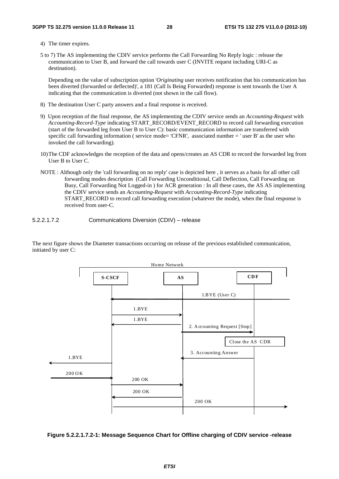4) The timer expires.

5 to 7) The AS implementing the CDIV service performs the Call Forwarding No Reply logic : release the communication to User B, and forward the call towards user C (INVITE request including URI-C as destination).

 Depending on the value of subscription option '*Originating* user receives notification that his communication has been diverted (forwarded or deflected)', a 181 (Call Is Being Forwarded) response is sent towards the User A indicating that the communication is diverted (not shown in the call flow).

- 8) The destination User C party answers and a final response is received.
- 9) Upon reception of the final response, the AS implementing the CDIV service sends an *Accounting-Request* with *Accounting-Record-Type* indicating START\_RECORD/EVENT\_RECORD to record call forwarding execution (start of the forwarded leg from User B to User C): basic communication information are transferred with specific call forwarding information ( service mode= 'CFNR', associated number = ' user B' as the user who invoked the call forwarding).
- 10) The CDF acknowledges the reception of the data and opens/creates an AS CDR to record the forwarded leg from User B to User C.
- NOTE : Although only the 'call forwarding on no reply' case is depicted here , it serves as a basis for all other call forwarding modes description (Call Forwarding Unconditional, Call Deflection, Call Forwarding on Busy, Call Forwarding Not Logged-in ) for ACR generation : In all these cases, the AS AS implementing the CDIV service sends an *Accounting-Request* with *Accounting-Record-Type* indicating START\_RECORD to record call forwarding execution (whatever the mode), when the final response is received from user-C.

5.2.2.1.7.2 Communications Diversion (CDIV) – release

The next figure shows the Diameter transactions occurring on release of the previous established communication, initiated by user C:



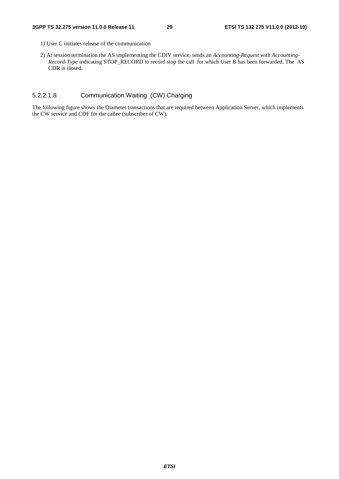- 1) User C initiates release of the communication
- 2) At session termination the AS implementing the CDIV service, sends an *Accounting-Request* with *Accounting-Record-Type* indicating STOP\_RECORD to record stop the call for which User B has been forwarded. The AS CDR is closed.

#### 5.2.2.1.8 Communication Waiting (CW) Charging

The following figure shows the Diameter transactions that are required between Application Server, which implements the CW service and CDF for the callee (subscriber of CW).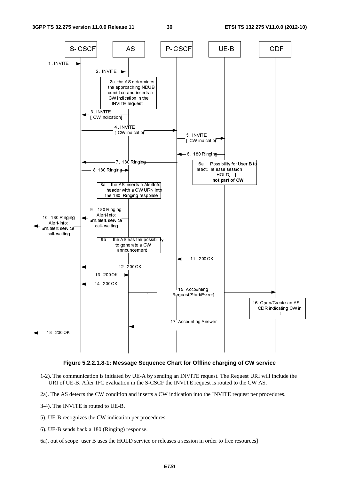

#### **Figure 5.2.2.1.8-1: Message Sequence Chart for Offline charging of CW service**

- 1-2). The communication is initiated by UE-A by sending an INVITE request. The Request URI will include the URI of UE-B. After IFC evaluation in the S-CSCF the INVITE request is routed to the CW AS.
- 2a). The AS detects the CW condition and inserts a CW indication into the INVITE request per procedures.
- 3-4). The INVITE is routed to UE-B.
- 5). UE-B recognizes the CW indication per procedures.
- 6). UE-B sends back a 180 (Ringing) response.
- 6a). out of scope: user B uses the HOLD service or releases a session in order to free resources]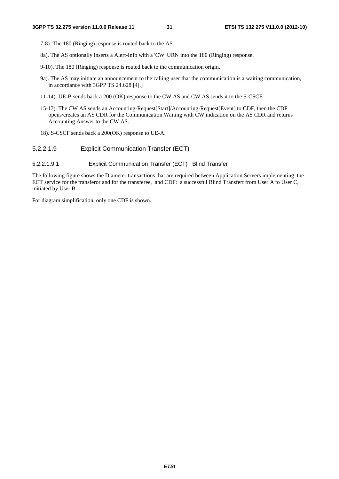- 7-8). The 180 (Ringing) response is routed back to the AS.
- 8a). The AS optionally inserts a Alert-Info with a 'CW' URN into the 180 (Ringing) response.
- 9-10). The 180 (Ringing) response is routed back to the communication origin.
- 9a). The AS may initiate an announcement to the calling user that the communication is a waiting communication, in accordance with 3GPP TS 24.628 [4].]
- 11-14). UE-B sends back a 200 (OK) response to the CW AS and CW AS sends it to the S-CSCF.
- 15-17). The CW AS sends an Accounting-Request[Start]/Accounting-Request[Event] to CDF, then the CDF opens/creates an AS CDR for the Communication Waiting with CW indication on the AS CDR and returns Accounting Answer to the CW AS.
- 18). S-CSCF sends back a 200(OK) response to UE-A.

#### 5.2.2.1.9 Explicit Communication Transfer (ECT)

#### 5.2.2.1.9.1 Explicit Communication Transfer (ECT) : Blind Transfer

The following figure shows the Diameter transactions that are required between Application Servers implementing the ECT service for the transferor and for the transferee, and CDF: a successful Blind Transfert from User A to User C, initiated by User B

For diagram simplification, only one CDF is shown.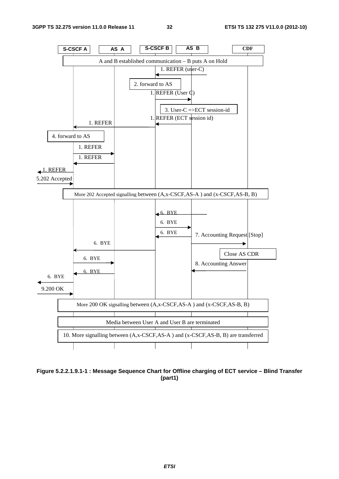

**Figure 5.2.2.1.9.1-1 : Message Sequence Chart for Offline charging of ECT service – Blind Transfer (part1)**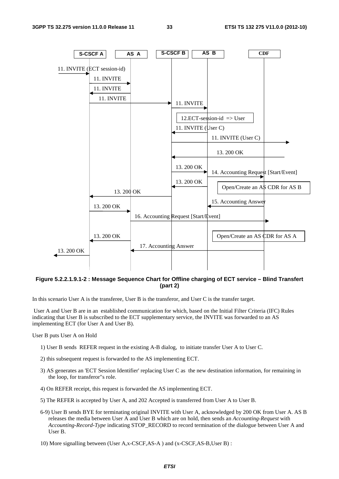

**Figure 5.2.2.1.9.1-2 : Message Sequence Chart for Offline charging of ECT service – Blind Transfert (part 2)** 

In this scenario User A is the transferee, User B is the transferor, and User C is the transfer target.

 User A and User B are in an established communication for which, based on the Initial Filter Criteria (IFC) Rules indicating that User B is subscribed to the ECT supplementary service, the INVITE was forwarded to an AS implementing ECT (for User A and User B).

#### User B puts User A on Hold

- 1) User B sends REFER request in the existing A-B dialog, to initiate transfer User A to User C.
- 2) this subsequent request is forwarded to the AS implementing ECT.
- 3) AS generates an 'ECT Session Identifier' replacing User C as the new destination information, for remaining in the loop, for transferor"s role.
- 4) On REFER receipt, this request is forwarded the AS implementing ECT.
- 5) The REFER is accepted by User A, and 202 Accepted is transferred from User A to User B.
- 6-9) User B sends BYE for terminating original INVITE with User A, acknowledged by 200 OK from User A. AS B releases the media between User A and User B which are on hold, then sends an *Accounting-Request* with *Accounting-Record-Type* indicating STOP\_RECORD to record termination of the dialogue between User A and User B.

10) More signalling between (User A,x-CSCF,AS-A ) and (x-CSCF,AS-B,User B) :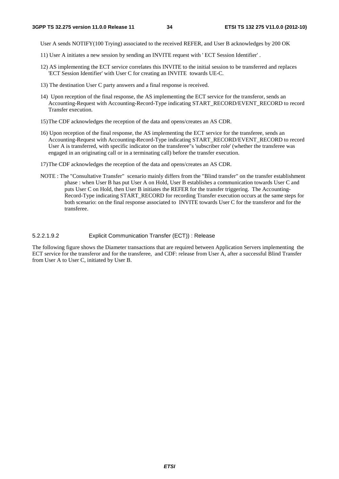User A sends NOTIFY(100 Trying) associated to the received REFER, and User B acknowledges by 200 OK

- 11) User A initiates a new session by sending an INVITE request with ' ECT Session Identifier' .
- 12) AS implementing the ECT service correlates this INVITE to the initial session to be transferred and replaces 'ECT Session Identifier' with User C for creating an INVITE towards UE-C.
- 13) The destination User C party answers and a final response is received.
- 14) Upon reception of the final response, the AS implementing the ECT service for the transferor, sends an Accounting-Request with Accounting-Record-Type indicating START\_RECORD/EVENT\_RECORD to record Transfer execution.
- 15) The CDF acknowledges the reception of the data and opens/creates an AS CDR.
- 16) Upon reception of the final response, the AS implementing the ECT service for the transferee, sends an Accounting-Request with Accounting-Record-Type indicating START\_RECORD/EVENT\_RECORD to record User A is transferred, with specific indicator on the transferee"s 'subscriber role' (whether the transferee was engaged in an originating call or in a terminating call) before the transfer execution.
- 17) The CDF acknowledges the reception of the data and opens/creates an AS CDR.
- NOTE : The "Consultative Transfer" scenario mainly differs from the "Blind transfer" on the transfer establishment phase : when User B has put User A on Hold, User B establishes a communication towards User C and puts User C on Hold, then User B initiates the REFER for the transfer triggering. The Accounting-Record-Type indicating START\_RECORD for recording Transfer execution occurs at the same steps for both scenario: on the final response associated to INVITE towards User C for the transferor and for the transferee.

#### 5.2.2.1.9.2 Explicit Communication Transfer (ECT)) : Release

The following figure shows the Diameter transactions that are required between Application Servers implementing the ECT service for the transferor and for the transferee, and CDF: release from User A, after a successful Blind Transfer from User A to User C, initiated by User B.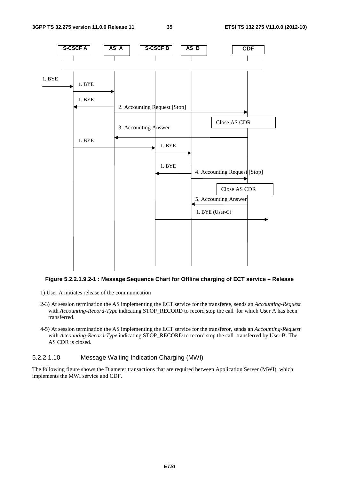

#### **Figure 5.2.2.1.9.2-1 : Message Sequence Chart for Offline charging of ECT service – Release**

- 1) User A initiates release of the communication
- 2-3) At session termination the AS implementing the ECT service for the transferee, sends an *Accounting-Request* with *Accounting-Record-Type* indicating STOP\_RECORD to record stop the call for which User A has been transferred.
- 4-5) At session termination the AS implementing the ECT service for the transferor, sends an *Accounting-Request* with *Accounting-Record-Type* indicating STOP\_RECORD to record stop the call transferred by User B. The AS CDR is closed.

#### 5.2.2.1.10 Message Waiting Indication Charging (MWI)

The following figure shows the Diameter transactions that are required between Application Server (MWI), which implements the MWI service and CDF.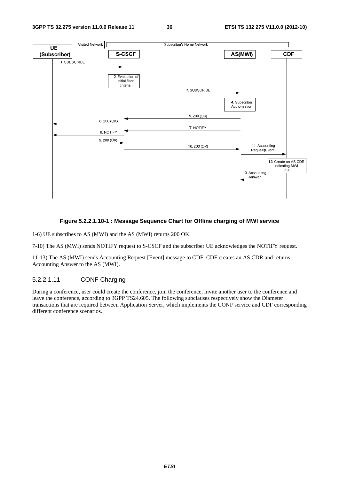

# **Figure 5.2.2.1.10-1 : Message Sequence Chart for Offline charging of MWI service**

1-6) UE subscribes to AS (MWI) and the AS (MWI) returns 200 OK.

7-10) The AS (MWI) sends NOTIFY request to S-CSCF and the subscriber UE acknowledges the NOTIFY request.

11-13) The AS (MWI) sends Accounting Request [Event] message to CDF, CDF creates an AS CDR and returns Accounting Answer to the AS (MWI).

# 5.2.2.1.11 CONF Charging

During a conference, user could create the conference, join the conference, invite another user to the conference and leave the conference, according to 3GPP TS24.605. The following subclauses respectively show the Diameter transactions that are required between Application Server, which implements the CONF service and CDF corresponding different conference scenarios.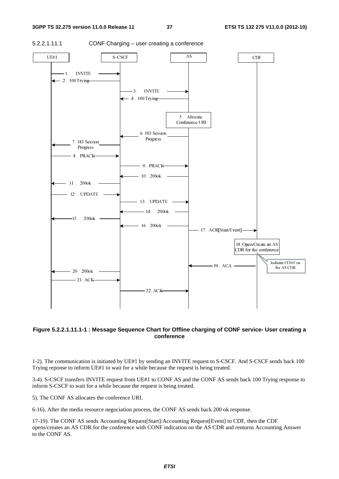

# **Figure 5.2.2.1.11.1-1 : Message Sequence Chart for Offline charging of CONF service- User creating a conference**

1-2). The communication is initiated by UE#1 by sending an INVITE request to S-CSCF. And S-CSCF sends back 100 Trying reponse to inform UE#1 to wait for a while because the request is being treated.

3-4). S-CSCF transfers INVITE request from UE#1 to CONF AS and the CONF AS sends back 100 Trying response to inform S-CSCF to wait for a while because the request is being treated.

5). The CONF AS allocates the conference URI.

6-16). After the media resource negociation process, the CONF AS sends back 200 ok response.

17-19). The CONF AS sends Accounting Request[Start]/Accounting Request[Event] to CDF, then the CDF opens/creates an AS CDR for the conference with CONF indication on the AS CDR and renturns Accounting Answer to the CONF AS.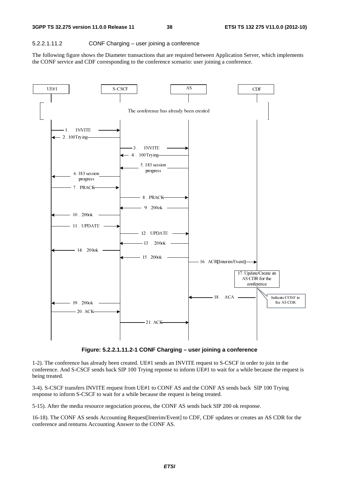# 5.2.2.1.11.2 CONF Charging – user joining a conference

The following figure shows the Diameter transactions that are required between Application Server, which implements the CONF service and CDF corresponding to the conference scenario: user joining a conference.



**Figure: 5.2.2.1.11.2-1 CONF Charging – user joining a conference** 

1-2). The conference has already been created. UE#1 sends an INVITE request to S-CSCF in order to join in the conference. And S-CSCF sends back SIP 100 Trying reponse to inform UE#1 to wait for a while because the request is being treated.

3-4). S-CSCF transfers INVITE request from UE#1 to CONF AS and the CONF AS sends back SIP 100 Trying response to inform S-CSCF to wait for a while because the request is being treated.

5-15). After the media resource negociation process, the CONF AS sends back SIP 200 ok response.

16-18). The CONF AS sends Accounting Request[Interim/Event] to CDF, CDF updates or creates an AS CDR for the conference and renturns Accounting Answer to the CONF AS.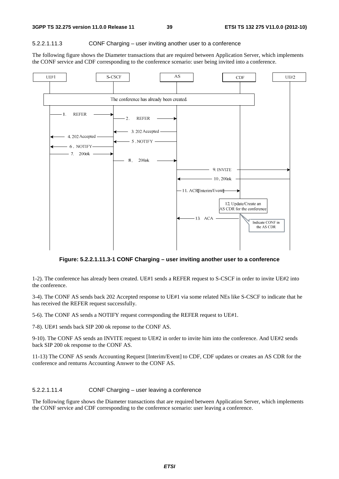#### 5.2.2.1.11.3 CONF Charging – user inviting another user to a conference

The following figure shows the Diameter transactions that are required between Application Server, which implements the CONF service and CDF corresponding to the conference scenario: user being invited into a conference.



**Figure: 5.2.2.1.11.3-1 CONF Charging – user inviting another user to a conference** 

1-2). The conference has already been created. UE#1 sends a REFER request to S-CSCF in order to invite UE#2 into the conference.

3-4). The CONF AS sends back 202 Accepted response to UE#1 via some related NEs like S-CSCF to indicate that he has received the REFER request successfully.

5-6). The CONF AS sends a NOTIFY request corresponding the REFER request to UE#1.

7-8). UE#1 sends back SIP 200 ok reponse to the CONF AS.

9-10). The CONF AS sends an INVITE request to UE#2 in order to invite him into the conference. And UE#2 sends back SIP 200 ok response to the CONF AS.

11-13) The CONF AS sends Accounting Request [Interim/Event] to CDF, CDF updates or creates an AS CDR for the conference and renturns Accounting Answer to the CONF AS.

5.2.2.1.11.4 CONF Charging – user leaving a conference

The following figure shows the Diameter transactions that are required between Application Server, which implements the CONF service and CDF corresponding to the conference scenario: user leaving a conference.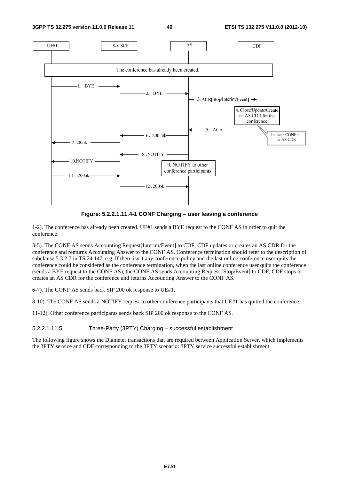

**Figure: 5.2.2.1.11.4-1 CONF Charging – user leaving a conference** 

1-2). The conference has already been created. UE#1 sends a BYE request to the CONF AS in order to quit the conference.

3-5). The CONF AS sends Accounting Request[Interim/Event] to CDF, CDF updates or creates an AS CDR for the conference and renturns Accounting Answer to the CONF AS. Conference termination should refer to the description of subclause 5.3.2.7 in TS 24.147, e.g. If there isn"t any conference policy and the last online conference user quits the conference could be considered as the conference termination, when the last online conference user quits the conference (sends a BYE request to the CONF AS), the CONF AS sends Accounting Request [Stop/Event] to CDF, CDF stops or creates an AS CDR for the conference and returns Accounting Answer to the CONF AS.

6-7). The CONF AS sends back SIP 200 ok response to UE#1.

8-10). The CONF AS sends a NOTIFY request to other conference participants that UE#1 has quitted the conference.

11-12). Other conference participants sends back SIP 200 ok response to the CONF AS.

5.2.2.1.11.5 Three-Party (3PTY) Charging – successful establishment

The following figure shows the Diameter transactions that are required between Application Server, which implements the 3PTY service and CDF corresponding to the 3PTY scenario: 3PTY service successful establishment.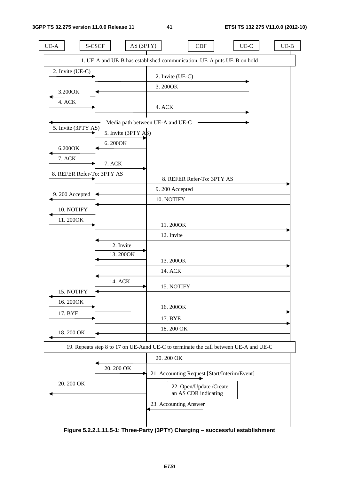| $UE-A$                         | S-CSCF                                                                               | AS (3PTY)                        | CDF                                             | $UE-C$                                       | $UE-B$ |
|--------------------------------|--------------------------------------------------------------------------------------|----------------------------------|-------------------------------------------------|----------------------------------------------|--------|
|                                | 1. UE-A and UE-B has established communication. UE-A puts UE-B on hold               |                                  |                                                 |                                              |        |
| 2. Invite (UE-C)               |                                                                                      | 2. Invite (UE-C)                 |                                                 |                                              |        |
| 3.200OK                        |                                                                                      | 3.200OK                          |                                                 |                                              |        |
| 4. ACK                         |                                                                                      |                                  |                                                 |                                              |        |
|                                |                                                                                      | 4. ACK                           |                                                 |                                              |        |
| 5. Invite $(3PTY \text{ A}\$)$ |                                                                                      | Media path between UE-A and UE-C |                                                 |                                              |        |
|                                | 5. Invite $(3PTY \text{ A}\$)$                                                       |                                  |                                                 |                                              |        |
| 6.200OK                        | 6.2000K                                                                              |                                  |                                                 |                                              |        |
| 7. ACK                         | 7. ACK                                                                               |                                  |                                                 |                                              |        |
|                                | 8. REFER Refer-Tb: 3PTY AS                                                           |                                  | 8. REFER Refer-To: 3PTY AS                      |                                              |        |
| 9.200 Accepted                 |                                                                                      | 9.200 Accepted                   |                                                 |                                              |        |
|                                |                                                                                      | 10. NOTIFY                       |                                                 |                                              |        |
| 10. NOTIFY                     |                                                                                      |                                  |                                                 |                                              |        |
| 11.200OK                       |                                                                                      | 11.200OK                         |                                                 |                                              |        |
|                                |                                                                                      | 12. Invite                       |                                                 |                                              |        |
|                                | 12. Invite                                                                           |                                  |                                                 |                                              |        |
|                                | 13.200OK                                                                             | 13.200OK                         |                                                 |                                              |        |
|                                |                                                                                      | 14. ACK                          |                                                 |                                              |        |
|                                | 14. ACK                                                                              | 15. NOTIFY                       |                                                 |                                              |        |
| 15. NOTIFY<br>16.200OK         |                                                                                      |                                  |                                                 |                                              |        |
| 17. BYE                        |                                                                                      | 16.200OK                         |                                                 |                                              |        |
|                                |                                                                                      | 17. BYE                          |                                                 |                                              |        |
| 18.200 OK                      |                                                                                      | 18.200 OK                        |                                                 |                                              |        |
|                                | 19. Repeats step 8 to 17 on UE-Aand UE-C to terminate the call between UE-A and UE-C |                                  |                                                 |                                              |        |
|                                |                                                                                      | 20.200 OK                        |                                                 |                                              |        |
|                                | 20.200 OK                                                                            |                                  |                                                 | 21. Accounting Request [Start/Interim/Event] |        |
| 20.200 OK                      |                                                                                      |                                  | 22. Open/Update /Create<br>an AS CDR indicating |                                              |        |
|                                |                                                                                      | 23. Accounting Answer            |                                                 |                                              |        |
|                                |                                                                                      |                                  |                                                 |                                              |        |
|                                |                                                                                      |                                  |                                                 |                                              |        |

**Figure 5.2.2.1.11.5-1: Three-Party (3PTY) Charging – successful establishment**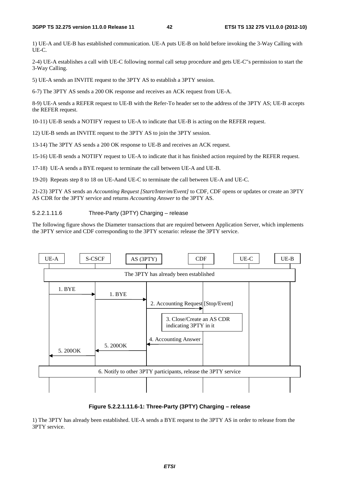1) UE-A and UE-B has established communication. UE-A puts UE-B on hold before invoking the 3-Way Calling with UE-C.

2-4) UE-A establishes a call with UE-C following normal call setup procedure and gets UE-C"s permission to start the 3-Way Calling.

5) UE-A sends an INVITE request to the 3PTY AS to establish a 3PTY session.

6-7) The 3PTY AS sends a 200 OK response and receives an ACK request from UE-A.

8-9) UE-A sends a REFER request to UE-B with the Refer-To header set to the address of the 3PTY AS; UE-B accepts the REFER request.

10-11) UE-B sends a NOTIFY request to UE-A to indicate that UE-B is acting on the REFER request.

12) UE-B sends an INVITE request to the 3PTY AS to join the 3PTY session.

13-14) The 3PTY AS sends a 200 OK response to UE-B and receives an ACK request.

15-16) UE-B sends a NOTIFY request to UE-A to indicate that it has finished action required by the REFER request.

17-18) UE-A sends a BYE request to terminate the call between UE-A and UE-B.

19-20) Repeats step 8 to 18 on UE-Aand UE-C to terminate the call between UE-A and UE-C.

21-23) 3PTY AS sends an *Accounting Request [Start/Interim/Event]* to CDF, CDF opens or updates or create an 3PTY AS CDR for the 3PTY service and returns *Accounting Answer* to the 3PTY AS.

### 5.2.2.1.11.6 Three-Party (3PTY) Charging – release

The following figure shows the Diameter transactions that are required between Application Server, which implements the 3PTY service and CDF corresponding to the 3PTY scenario: release the 3PTY service.



### **Figure 5.2.2.1.11.6-1: Three-Party (3PTY) Charging – release**

1) The 3PTY has already been established. UE-A sends a BYE request to the 3PTY AS in order to release from the 3PTY service.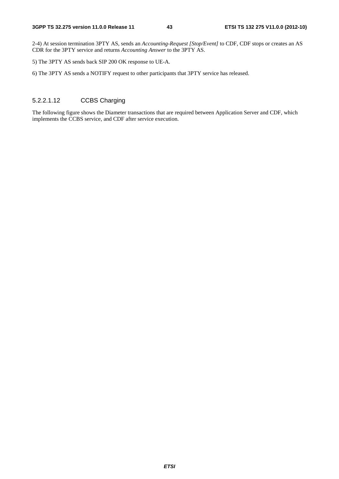2-4) At session termination 3PTY AS, sends an *Accounting-Request [Stop/Event]* to CDF, CDF stops or creates an AS CDR for the 3PTY service and returns *Accounting Answer* to the 3PTY AS.

5) The 3PTY AS sends back SIP 200 OK response to UE-A.

6) The 3PTY AS sends a NOTIFY request to other participants that 3PTY service has released.

# 5.2.2.1.12 CCBS Charging

The following figure shows the Diameter transactions that are required between Application Server and CDF, which implements the CCBS service, and CDF after service execution.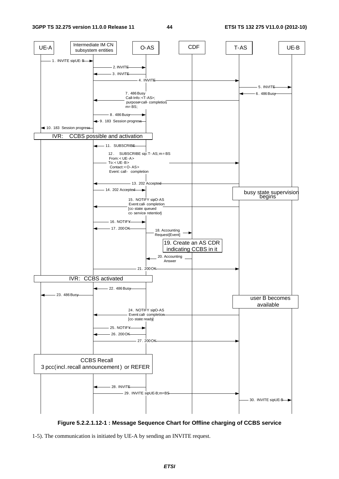

**Figure 5.2.2.1.12-1 : Message Sequence Chart for Offline charging of CCBS service** 

<sup>1-5).</sup> The communication is initiated by UE-A by sending an INVITE request.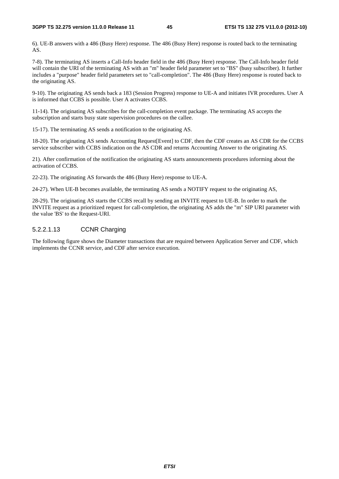6). UE-B answers with a 486 (Busy Here) response. The 486 (Busy Here) response is routed back to the terminating AS.

7-8). The terminating AS inserts a Call-Info header field in the 486 (Busy Here) response. The Call-Info header field will contain the URI of the terminating AS with an "m" header field parameter set to "BS" (busy subscriber). It further includes a "purpose" header field parameters set to "call-completion". The 486 (Busy Here) response is routed back to the originating AS.

9-10). The originating AS sends back a 183 (Session Progress) response to UE-A and initiates IVR procedures. User A is informed that CCBS is possible. User A activates CCBS.

11-14). The originating AS subscribes for the call-completion event package. The terminating AS accepts the subscription and starts busy state supervision procedures on the callee.

15-17). The terminating AS sends a notification to the originating AS.

18-20). The originating AS sends Accounting Request[Event] to CDF, then the CDF creates an AS CDR for the CCBS service subscriber with CCBS indication on the AS CDR and returns Accounting Answer to the originating AS.

21). After confirmation of the notification the originating AS starts announcements procedures informing about the activation of CCBS.

22-23). The originating AS forwards the 486 (Busy Here) response to UE-A.

24-27). When UE-B becomes available, the terminating AS sends a NOTIFY request to the originating AS,

28-29). The originating AS starts the CCBS recall by sending an INVITE request to UE-B. In order to mark the INVITE request as a prioritized request for call-completion, the originating AS adds the "m" SIP URI parameter with the value 'BS' to the Request-URI.

# 5.2.2.1.13 CCNR Charging

The following figure shows the Diameter transactions that are required between Application Server and CDF, which implements the CCNR service, and CDF after service execution.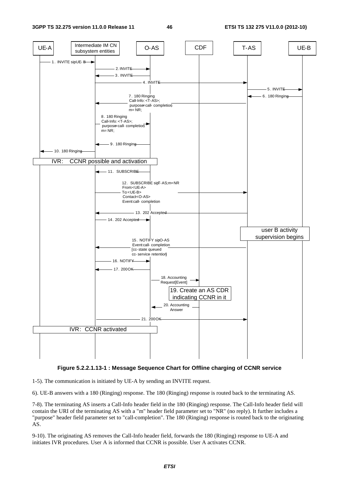

### **Figure 5.2.2.1.13-1 : Message Sequence Chart for Offline charging of CCNR service**

1-5). The communication is initiated by UE-A by sending an INVITE request.

6). UE-B answers with a 180 (Ringing) response. The 180 (Ringing) response is routed back to the terminating AS.

7-8). The terminating AS inserts a Call-Info header field in the 180 (Ringing) response. The Call-Info header field will contain the URI of the terminating AS with a "m" header field parameter set to "NR" (no reply). It further includes a "purpose" header field parameter set to "call-completion". The 180 (Ringing) response is routed back to the originating AS.

9-10). The originating AS removes the Call-Info header field, forwards the 180 (Ringing) response to UE-A and initiates IVR procedures. User A is informed that CCNR is possible. User A activates CCNR.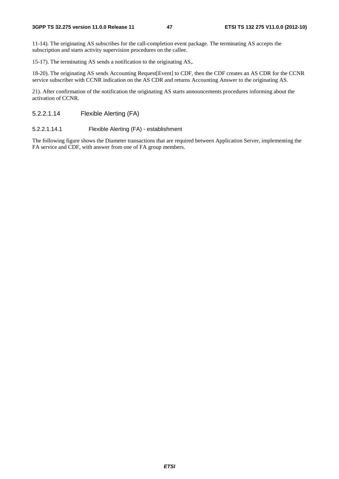11-14). The originating AS subscribes for the call-completion event package. The terminating AS accepts the subscription and starts activity supervision procedures on the callee.

15-17). The terminating AS sends a notification to the originating AS,.

18-20). The originating AS sends Accounting Request[Event] to CDF, then the CDF creates an AS CDR for the CCNR service subscriber with CCNR indication on the AS CDR and returns Accounting Answer to the originating AS.

21). After confirmation of the notification the originating AS starts announcements procedures informing about the activation of CCNR.

# 5.2.2.1.14 Flexible Alerting (FA)

# 5.2.2.1.14.1 Flexible Alerting (FA) - establishment

The following figure shows the Diameter transactions that are required between Application Server, implementing the FA service and CDF, with answer from one of FA group members.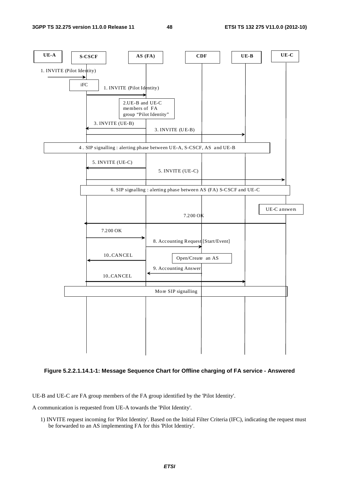



UE-B and UE-C are FA group members of the FA group identified by the 'Pilot Identity'.

A communication is requested from UE-A towards the 'Pilot Identity'.

1) INVITE request incoming for 'Pilot Identity'. Based on the Initial Filter Criteria (IFC), indicating the request must be forwarded to an AS implementing FA for this 'Pilot Identiry'.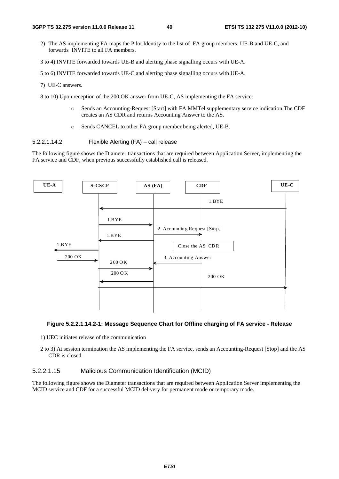2) The AS implementing FA maps the Pilot Identity to the list of FA group members: UE-B and UE-C, and forwards INVITE to all FA members.

3 to 4) INVITE forwarded towards UE-B and alerting phase signalling occurs with UE-A.

5 to 6) INVITE forwarded towards UE-C and alerting phase signalling occurs with UE-A.

7) UE-C answers.

8 to 10) Upon reception of the 200 OK answer from UE-C, AS implementing the FA service:

- o Sends an Accounting-Request [Start] with FA MMTel supplementary service indication.The CDF creates an AS CDR and returns Accounting Answer to the AS.
- o Sends CANCEL to other FA group member being alerted, UE-B.

5.2.2.1.14.2 Flexible Alerting (FA) – call release

The following figure shows the Diameter transactions that are required between Application Server, implementing the FA service and CDF, when previous successfully established call is released.



### **Figure 5.2.2.1.14.2-1: Message Sequence Chart for Offline charging of FA service - Release**

- 1) UEC initiates release of the communication
- 2 to 3) At session termination the AS implementing the FA service, sends an Accounting-Request [Stop] and the AS CDR is closed.

### 5.2.2.1.15 Malicious Communication Identification (MCID)

The following figure shows the Diameter transactions that are required between Application Server implementing the MCID service and CDF for a successful MCID delivery for permanent mode or temporary mode.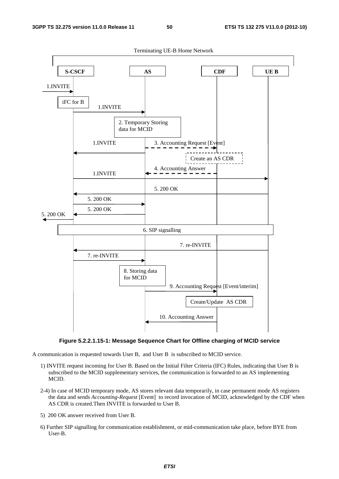

**Figure 5.2.2.1.15-1: Message Sequence Chart for Offline charging of MCID service** 

A communication is requested towards User B, and User B is subscribed to MCID service.

- 1) INVITE request incoming for User B. Based on the Initial Filter Criteria (IFC) Rules, indicating that User B is subscribed to the MCID supplementary services, the communication is forwarded to an AS implementing MCID.
- 2-4) In case of MCID temporary mode, AS stores relevant data temporarily, in case permanent mode AS registers the data and sends *Accounting-Request* [Event] to record invocation of MCID, acknowledged by the CDF when AS CDR is created.Then INVITE is forwarded to User B.
- 5) 200 OK answer received from User B.
- 6) Further SIP signalling for communication establishment, or mid-communication take place, before BYE from User-B.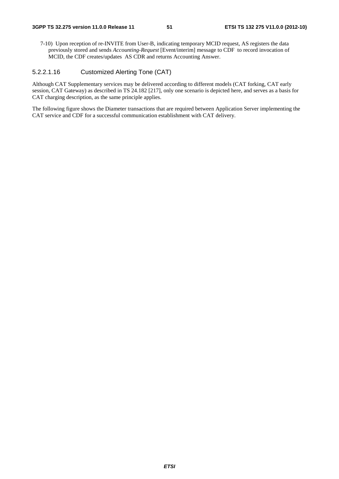7-10) Upon reception of re-INVITE from User-B, indicating temporary MCID request, AS registers the data previously stored and sends *Accounting-Request* [Event/interim] message to CDF to record invocation of MCID, the CDF creates/updates AS CDR and returns Accounting Answer.

# 5.2.2.1.16 Customized Alerting Tone (CAT)

Although CAT Supplementary services may be delivered according to different models (CAT forking, CAT early session, CAT Gateway) as described in TS 24.182 [217], only one scenario is depicted here, and serves as a basis for CAT charging description, as the same principle applies.

The following figure shows the Diameter transactions that are required between Application Server implementing the CAT service and CDF for a successful communication establishment with CAT delivery.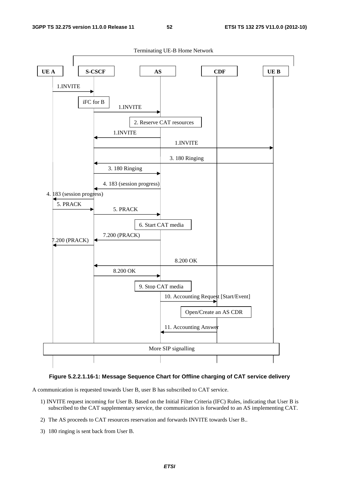

# **Figure 5.2.2.1.16-1: Message Sequence Chart for Offline charging of CAT service delivery**

A communication is requested towards User B, user B has subscribed to CAT service.

- 1) INVITE request incoming for User B. Based on the Initial Filter Criteria (IFC) Rules, indicating that User B is subscribed to the CAT supplementary service, the communication is forwarded to an AS implementing CAT.
- 2) The AS proceeds to CAT resources reservation and forwards INVITE towards User B..
- 3) 180 ringing is sent back from User B.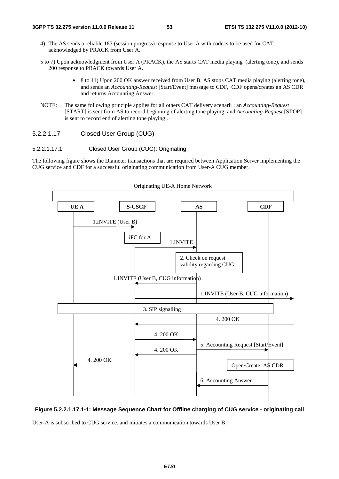- 4) The AS sends a reliable 183 (session progress) response to User A with codecs to be used for CAT., acknowledged by PRACK from User A.
- 5 to 7) Upon acknowledgment from User A (PRACK), the AS starts CAT media playing (alerting tone), and sends 200 response to PRACK towards User A.
	- 8 to 11) Upon 200 OK answer received from User B, AS stops CAT media playing (alerting tone), and sends an *Accounting-Request* [Start/Event] message to CDF, CDF opens/creates an AS CDR and returns Accounting Answer.
- NOTE: The same following principle applies for all others CAT delivery scenarii : an *Accounting-Request* [START] is sent from AS to record beginning of alerting tone playing, and *Accounting-Request* [STOP] is sent to record end of alerting tone playing .

# 5.2.2.1.17 Closed User Group (CUG)

### 5.2.2.1.17.1 Closed User Group (CUG): Originating

The following figure shows the Diameter transactions that are required between Application Server implementing the CUG service and CDF for a successful originating communication from User-A CUG member.



### Originating UE-A Home Network

# **Figure 5.2.2.1.17.1-1: Message Sequence Chart for Offline charging of CUG service - originating call**

User-A is subscribed to CUG service. and initiates a communication towards User B.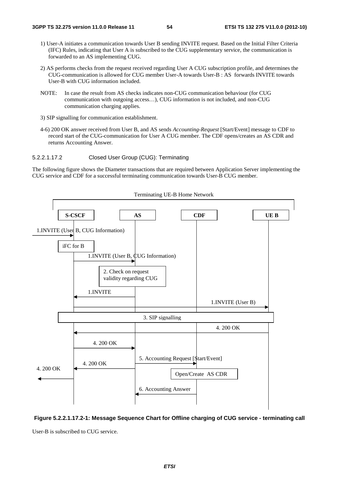- 1) User-A initiates a communication towards User B sending INVITE request. Based on the Initial Filter Criteria (IFC) Rules, indicating that User A is subscribed to the CUG supplementary service, the communication is forwarded to an AS implementing CUG.
- 2) AS performs checks from the request received regarding User A CUG subscription profile, and determines the CUG-communication is allowed for CUG member User-A towards User-B : AS forwards INVITE towards User-B with CUG information included.
- NOTE: In case the result from AS checks indicates non-CUG communication behaviour (for CUG communication with outgoing access…), CUG information is not included, and non-CUG communication charging applies.
- 3) SIP signalling for communication establishment.
- 4-6) 200 OK answer received from User B, and AS sends *Accounting-Request* [Start/Event] message to CDF to record start of the CUG-communication for User A CUG member. The CDF opens/creates an AS CDR and returns Accounting Answer.
- 5.2.2.1.17.2 Closed User Group (CUG): Terminating

The following figure shows the Diameter transactions that are required between Application Server implementing the CUG service and CDF for a successful terminating communication towards User-B CUG member.



Terminating UE-B Home Network

**Figure 5.2.2.1.17.2-1: Message Sequence Chart for Offline charging of CUG service - terminating call** 

User-B is subscribed to CUG service.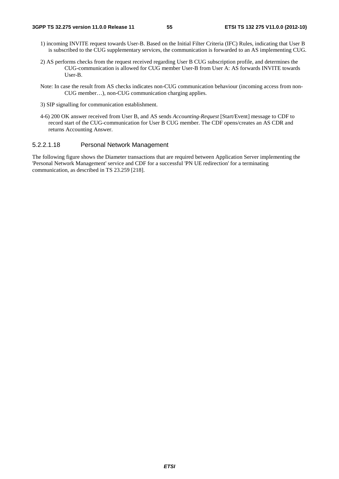- 1) incoming INVITE request towards User-B. Based on the Initial Filter Criteria (IFC) Rules, indicating that User B is subscribed to the CUG supplementary services, the communication is forwarded to an AS implementing CUG.
- 2) AS performs checks from the request received regarding User B CUG subscription profile, and determines the CUG-communication is allowed for CUG member User-B from User A: AS forwards INVITE towards User-B.
- Note: In case the result from AS checks indicates non-CUG communication behaviour (incoming access from non-CUG member…), non-CUG communication charging applies.
- 3) SIP signalling for communication establishment.
- 4-6) 200 OK answer received from User B, and AS sends *Accounting-Request* [Start/Event] message to CDF to record start of the CUG-communication for User B CUG member. The CDF opens/creates an AS CDR and returns Accounting Answer.

# 5.2.2.1.18 Personal Network Management

The following figure shows the Diameter transactions that are required between Application Server implementing the 'Personal Network Management' service and CDF for a successful 'PN UE redirection' for a terminating communication, as described in TS 23.259 [218].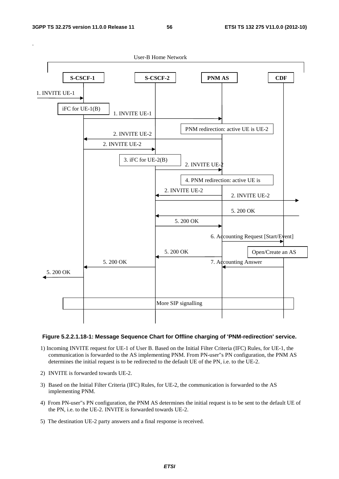

### **Figure 5.2.2.1.18-1: Message Sequence Chart for Offline charging of 'PNM-redirection' service.**

- 1) Incoming INVITE request for UE-1 of User B. Based on the Initial Filter Criteria (IFC) Rules, for UE-1, the communication is forwarded to the AS implementing PNM. From PN-user"s PN configuration, the PNM AS determines the initial request is to be redirected to the default UE of the PN, i.e. to the UE-2.
- 2) INVITE is forwarded towards UE-2.
- 3) Based on the Initial Filter Criteria (IFC) Rules, for UE-2, the communication is forwarded to the AS implementing PNM.
- 4) From PN-user"s PN configuration, the PNM AS determines the initial request is to be sent to the default UE of the PN, i.e. to the UE-2. INVITE is forwarded towards UE-2.
- 5) The destination UE-2 party answers and a final response is received.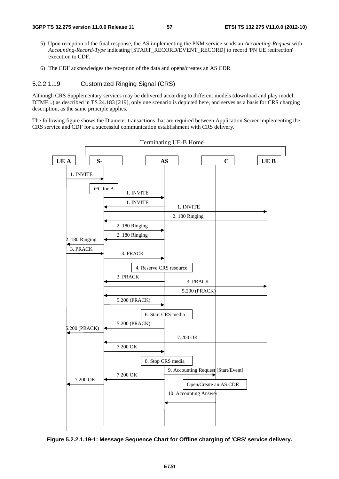- 5) Upon reception of the final response, the AS implementing the PNM service sends an *Accounting-Request* with *Accounting-Record-Type* indicating [START\_RECORD/EVENT\_RECORD] to record 'PN UE redirection' execution to CDF.
- 6) The CDF acknowledges the reception of the data and opens/creates an AS CDR.

# 5.2.2.1.19 Customized Ringing Signal (CRS)

Although CRS Supplementary services may be delivered according to different models (download and play model, DTMF...) as described in TS 24.183 [219], only one scenario is depicted here, and serves as a basis for CRS charging description, as the same principle applies.

The following figure shows the Diameter transactions that are required between Application Server implementing the CRS service and CDF for a successful communication establishment with CRS delivery.



**Figure 5.2.2.1.19-1: Message Sequence Chart for Offline charging of 'CRS' service delivery.**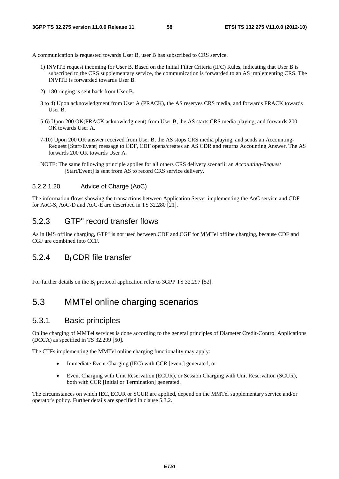A communication is requested towards User B, user B has subscribed to CRS service.

- 1) INVITE request incoming for User B. Based on the Initial Filter Criteria (IFC) Rules, indicating that User B is subscribed to the CRS supplementary service, the communication is forwarded to an AS implementing CRS. The INVITE is forwarded towards User B.
- 2) 180 ringing is sent back from User B.
- 3 to 4) Upon acknowledgment from User A (PRACK), the AS reserves CRS media, and forwards PRACK towards User B.
- 5-6) Upon 200 OK(PRACK acknowledgment) from User B, the AS starts CRS media playing, and forwards 200 OK towards User A.
- 7-10) Upon 200 OK answer received from User B, the AS stops CRS media playing, and sends an Accounting-Request [Start/Event] message to CDF, CDF opens/creates an AS CDR and returns Accounting Answer. The AS forwards 200 OK towards User A.
- NOTE: The same following principle applies for all others CRS delivery scenarii: an *Accounting-Request* [Start/Event] is sent from AS to record CRS service delivery.

# 5.2.2.1.20 Advice of Charge (AoC)

The information flows showing the transactions between Application Server implementing the AoC service and CDF for AoC-S, AoC-D and AoC-E are described in TS 32.280 [21].

# 5.2.3 GTP" record transfer flows

As in IMS offline charging, GTP" is not used between CDF and CGF for MMTel offline charging, because CDF and CGF are combined into CCF.

# 5.2.4 BI CDR file transfer

For further details on the  $B_i$  protocol application refer to 3GPP TS 32.297 [52].

# 5.3 MMTel online charging scenarios

# 5.3.1 Basic principles

Online charging of MMTel services is done according to the general principles of Diameter Credit-Control Applications (DCCA) as specified in TS 32.299 [50].

The CTFs implementing the MMTel online charging functionality may apply:

- Immediate Event Charging (IEC) with CCR [event] generated, or
- Event Charging with Unit Reservation (ECUR), or Session Charging with Unit Reservation (SCUR), both with CCR [Initial or Termination] generated.

The circumstances on which IEC, ECUR or SCUR are applied, depend on the MMTel supplementary service and/or operator's policy. Further details are specified in clause 5.3.2.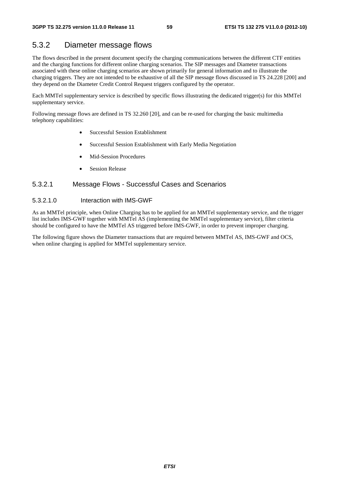# 5.3.2 Diameter message flows

The flows described in the present document specify the charging communications between the different CTF entities and the charging functions for different online charging scenarios. The SIP messages and Diameter transactions associated with these online charging scenarios are shown primarily for general information and to illustrate the charging triggers. They are not intended to be exhaustive of all the SIP message flows discussed in TS 24.228 [200] and they depend on the Diameter Credit Control Request triggers configured by the operator.

Each MMTel supplementary service is described by specific flows illustrating the dedicated trigger(s) for this MMTel supplementary service.

Following message flows are defined in TS 32.260 [20], and can be re-used for charging the basic multimedia telephony capabilities:

- Successful Session Establishment
- Successful Session Establishment with Early Media Negotiation
- Mid-Session Procedures
- Session Release

# 5.3.2.1 Message Flows - Successful Cases and Scenarios

# 5.3.2.1.0 Interaction with IMS-GWF

As an MMTel principle, when Online Charging has to be applied for an MMTel supplementary service, and the trigger list includes IMS-GWF together with MMTel AS (implementing the MMTel supplementary service), filter criteria should be configured to have the MMTel AS triggered before IMS-GWF, in order to prevent improper charging.

The following figure shows the Diameter transactions that are required between MMTel AS, IMS-GWF and OCS, when online charging is applied for MMTel supplementary service.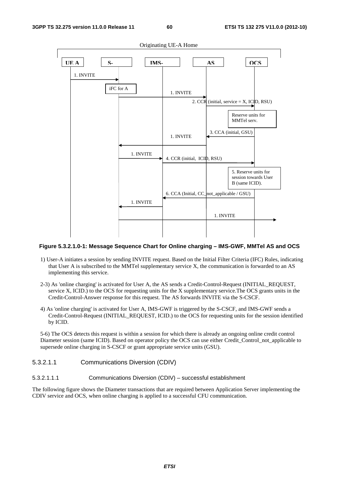

### **Figure 5.3.2.1.0-1: Message Sequence Chart for Online charging – IMS-GWF, MMTel AS and OCS**

- 1) User-A initiates a session by sending INVITE request. Based on the Initial Filter Criteria (IFC) Rules, indicating that User A is subscribed to the MMTel supplementary service X, the communication is forwarded to an AS implementing this service.
- 2-3) As 'online charging' is activated for User A, the AS sends a Credit-Control-Request (INITIAL\_REQUEST, service X, ICID.) to the OCS for requesting units for the X supplementary service.The OCS grants units in the Credit-Control-Answer response for this request. The AS forwards INVITE via the S-CSCF.
- 4) As 'online charging' is activated for User A, IMS-GWF is triggered by the S-CSCF, and IMS-GWF sends a Credit-Control-Request (INITIAL\_REQUEST, ICID.) to the OCS for requesting units for the session identified by ICID.

5-6) The OCS detects this request is within a session for which there is already an ongoing online credit control Diameter session (same ICID). Based on operator policy the OCS can use either Credit Control not applicable to supersede online charging in S-CSCF or grant appropriate service units (GSU).

### 5.3.2.1.1 Communications Diversion (CDIV)

5.3.2.1.1.1 Communications Diversion (CDIV) – successful establishment

The following figure shows the Diameter transactions that are required between Application Server implementing the CDIV service and OCS, when online charging is applied to a successful CFU communication.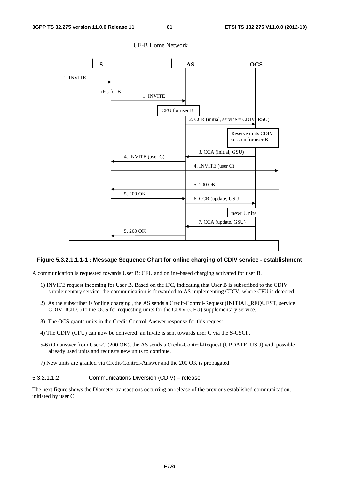

### **Figure 5.3.2.1.1.1-1 : Message Sequence Chart for online charging of CDIV service - establishment**

A communication is requested towards User B: CFU and online-based charging activated for user B.

- 1) INVITE request incoming for User B. Based on the iFC, indicating that User B is subscribed to the CDIV supplementary service, the communication is forwarded to AS implementing CDIV, where CFU is detected.
- 2) As the subscriber is 'online charging', the AS sends a Credit-Control-Request (INITIAL\_REQUEST, service CDIV, ICID..) to the OCS for requesting units for the CDIV (CFU) supplementary service.
- 3) The OCS grants units in the Credit-Control-Answer response for this request.
- 4) The CDIV (CFU) can now be delivered: an Invite is sent towards user C via the S-CSCF.
- 5-6) On answer from User-C (200 OK), the AS sends a Credit-Control-Request (UPDATE, USU) with possible already used units and requests new units to continue.
- 7) New units are granted via Credit-Control-Answer and the 200 OK is propagated.

5.3.2.1.1.2 Communications Diversion (CDIV) – release

The next figure shows the Diameter transactions occurring on release of the previous established communication, initiated by user C: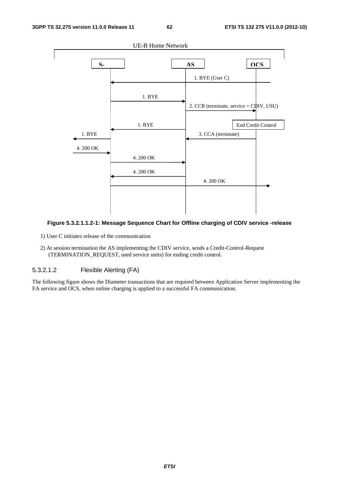

# **Figure 5.3.2.1.1.2-1: Message Sequence Chart for Offline charging of CDIV service -release**

- 1) User C initiates release of the communication
- 2) At session termination the AS implementing the CDIV service, sends a Credit-Control-Request (TERMINATION\_REQUEST, used service units) for ending credit control.

# 5.3.2.1.2 Flexible Alerting (FA)

The following figure shows the Diameter transactions that are required between Application Server implementing the FA service and OCS, when online charging is applied to a successful FA communication.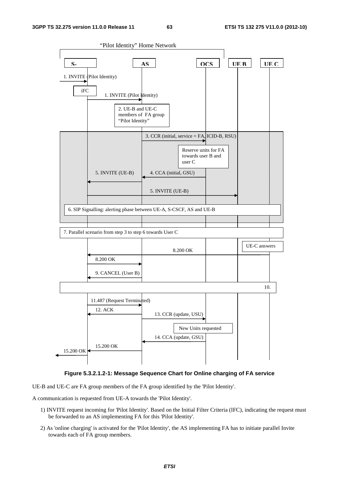

UE-B and UE-C are FA group members of the FA group identified by the 'Pilot Identity'.

A communication is requested from UE-A towards the 'Pilot Identity'.

- 1) INVITE request incoming for 'Pilot Identity'. Based on the Initial Filter Criteria (IFC), indicating the request must be forwarded to an AS implementing FA for this 'Pilot Identity'.
- 2) As 'online charging' is activated for the 'Pilot Identity', the AS implementing FA has to initiate parallel Invite towards each of FA group members.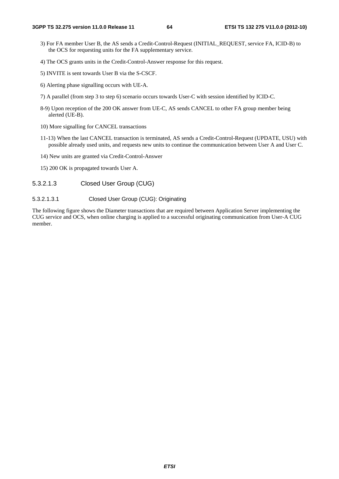- 3) For FA member User B, the AS sends a Credit-Control-Request (INITIAL\_REQUEST, service FA, ICID-B) to the OCS for requesting units for the FA supplementary service.
- 4) The OCS grants units in the Credit-Control-Answer response for this request.
- 5) INVITE is sent towards User B via the S-CSCF.
- 6) Alerting phase signalling occurs with UE-A.
- 7) A parallel (from step 3 to step 6) scenario occurs towards User-C with session identified by ICID-C.
- 8-9) Upon reception of the 200 OK answer from UE-C, AS sends CANCEL to other FA group member being alerted (UE-B).
- 10) More signalling for CANCEL transactions
- 11-13) When the last CANCEL transaction is terminated, AS sends a Credit-Control-Request (UPDATE, USU) with possible already used units, and requests new units to continue the communication between User A and User C.
- 14) New units are granted via Credit-Control-Answer
- 15) 200 OK is propagated towards User A.
- 5.3.2.1.3 Closed User Group (CUG)

# 5.3.2.1.3.1 Closed User Group (CUG): Originating

The following figure shows the Diameter transactions that are required between Application Server implementing the CUG service and OCS, when online charging is applied to a successful originating communication from User-A CUG member.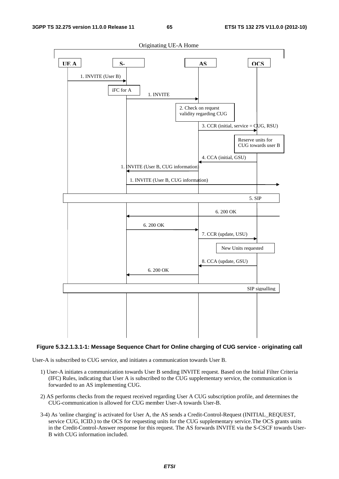

# **Figure 5.3.2.1.3.1-1: Message Sequence Chart for Online charging of CUG service - originating call**

User-A is subscribed to CUG service, and initiates a communication towards User B.

- 1) User-A initiates a communication towards User B sending INVITE request. Based on the Initial Filter Criteria (IFC) Rules, indicating that User A is subscribed to the CUG supplementary service, the communication is forwarded to an AS implementing CUG.
- 2) AS performs checks from the request received regarding User A CUG subscription profile, and determines the CUG-communication is allowed for CUG member User-A towards User-B.
- 3-4) As 'online charging' is activated for User A, the AS sends a Credit-Control-Request (INITIAL\_REQUEST, service CUG, ICID.) to the OCS for requesting units for the CUG supplementary service.The OCS grants units in the Credit-Control-Answer response for this request. The AS forwards INVITE via the S-CSCF towards User-B with CUG information included.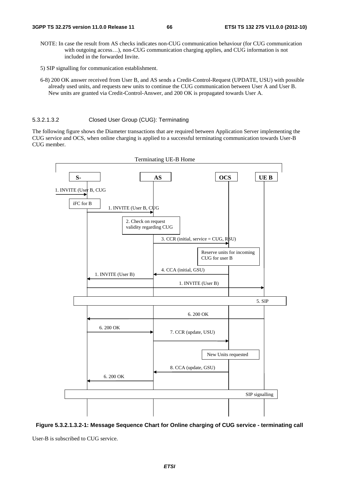- NOTE: In case the result from AS checks indicates non-CUG communication behaviour (for CUG communication with outgoing access…), non-CUG communication charging applies, and CUG information is not included in the forwarded Invite.
- 5) SIP signalling for communication establishment.
- 6-8) 200 OK answer received from User B, and AS sends a Credit-Control-Request (UPDATE, USU) with possible already used units, and requests new units to continue the CUG communication between User A and User B. New units are granted via Credit-Control-Answer, and 200 OK is propagated towards User A.

#### 5.3.2.1.3.2 Closed User Group (CUG): Terminating

The following figure shows the Diameter transactions that are required between Application Server implementing the CUG service and OCS, when online charging is applied to a successful terminating communication towards User-B CUG member.



**Figure 5.3.2.1.3.2-1: Message Sequence Chart for Online charging of CUG service - terminating call** 

User-B is subscribed to CUG service.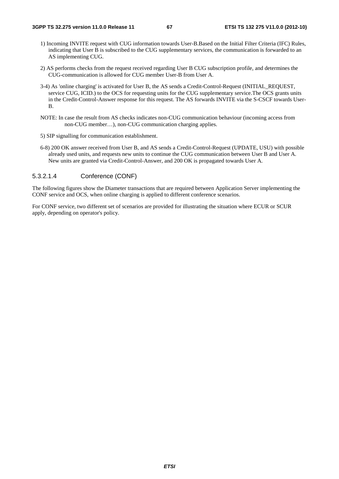- 1) Incoming INVITE request with CUG information towards User-B.Based on the Initial Filter Criteria (IFC) Rules, indicating that User B is subscribed to the CUG supplementary services, the communication is forwarded to an AS implementing CUG.
- 2) AS performs checks from the request received regarding User B CUG subscription profile, and determines the CUG-communication is allowed for CUG member User-B from User A.
- 3-4) As 'online charging' is activated for User B, the AS sends a Credit-Control-Request (INITIAL\_REQUEST, service CUG, ICID.) to the OCS for requesting units for the CUG supplementary service.The OCS grants units in the Credit-Control-Answer response for this request. The AS forwards INVITE via the S-CSCF towards User-B.
- NOTE: In case the result from AS checks indicates non-CUG communication behaviour (incoming access from non-CUG member…), non-CUG communication charging applies.
- 5) SIP signalling for communication establishment.
- 6-8) 200 OK answer received from User B, and AS sends a Credit-Control-Request (UPDATE, USU) with possible already used units, and requests new units to continue the CUG communication between User B and User A. New units are granted via Credit-Control-Answer, and 200 OK is propagated towards User A.

# 5.3.2.1.4 Conference (CONF)

The following figures show the Diameter transactions that are required between Application Server implementing the CONF service and OCS, when online charging is applied to different conference scenarios.

For CONF service, two different set of scenarios are provided for illustrating the situation where ECUR or SCUR apply, depending on operator's policy.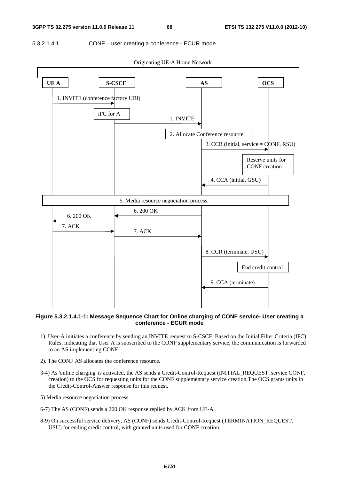### 5.3.2.1.4.1 CONF – user creating a conference - ECUR mode



Originating UE-A Home Network

# **Figure 5.3.2.1.4.1-1: Message Sequence Chart for Online charging of CONF service- User creating a conference - ECUR mode**

- 1). User-A initiates a conference by sending an INVITE request to S-CSCF. Based on the Initial Filter Criteria (IFC) Rules, indicating that User A is subscribed to the CONF supplementary service, the communication is forwarded to an AS implementing CONF.
- 2). The CONF AS allocates the conference resource.
- 3-4) As 'online charging' is activated, the AS sends a Credit-Control-Request (INITIAL\_REQUEST, service CONF, creation) to the OCS for requesting units for the CONF supplementary service creation.The OCS grants units in the Credit-Control-Answer response for this request.
- 5) Media resource negociation process.
- 6-7) The AS (CONF) sends a 200 OK response replied by ACK from UE-A.
- 8-9) On successful service delivery, AS (CONF) sends Credit-Control-Request (TERMINATION\_REQUEST, USU) for ending credit control, with granted units used for CONF creation.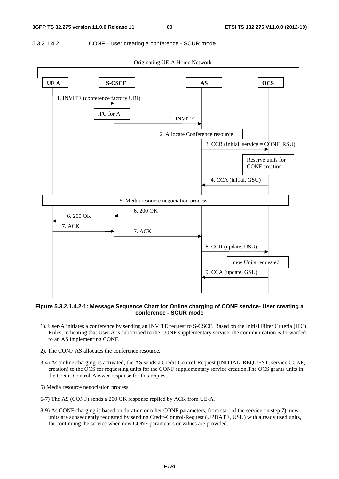### 5.3.2.1.4.2 CONF – user creating a conference - SCUR mode



**Figure 5.3.2.1.4.2-1: Message Sequence Chart for Online charging of CONF service- User creating a conference - SCUR mode** 

- 1). User-A initiates a conference by sending an INVITE request to S-CSCF. Based on the Initial Filter Criteria (IFC) Rules, indicating that User A is subscribed to the CONF supplementary service, the communication is forwarded to an AS implementing CONF.
- 2). The CONF AS allocates the conference resource.
- 3-4) As 'online charging' is activated, the AS sends a Credit-Control-Request (INITIAL\_REQUEST, service CONF, creation) to the OCS for requesting units for the CONF supplementary service creation.The OCS grants units in the Credit-Control-Answer response for this request.
- 5) Media resource negociation process.
- 6-7) The AS (CONF) sends a 200 OK response replied by ACK from UE-A.
- 8-9) As CONF charging is based on duration or other CONF parameters, from start of the service on step 7), new units are subsequently requested by sending Credit-Control-Request (UPDATE, USU) with already used units, for continuing the service when new CONF parameters or values are provided.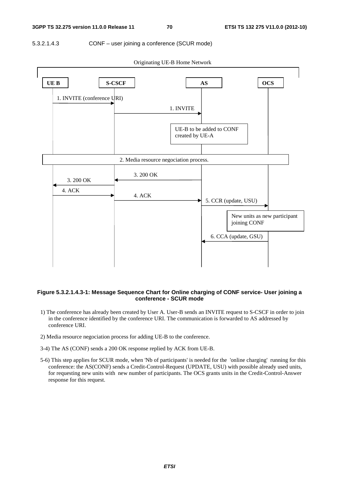### 5.3.2.1.4.3 CONF – user joining a conference (SCUR mode)



Originating UE-B Home Network

### **Figure 5.3.2.1.4.3-1: Message Sequence Chart for Online charging of CONF service- User joining a conference - SCUR mode**

- 1) The conference has already been created by User A. User-B sends an INVITE request to S-CSCF in order to join in the conference identified by the conference URI. The communication is forwarded to AS addressed by conference URI.
- 2) Media resource negociation process for adding UE-B to the conference.
- 3-4) The AS (CONF) sends a 200 OK response replied by ACK from UE-B.
- 5-6) This step applies for SCUR mode, when 'Nb of participants' is needed for the 'online charging' running for this conference: the AS(CONF) sends a Credit-Control-Request (UPDATE, USU) with possible already used units, for requesting new units with new number of participants. The OCS grants units in the Credit-Control-Answer response for this request.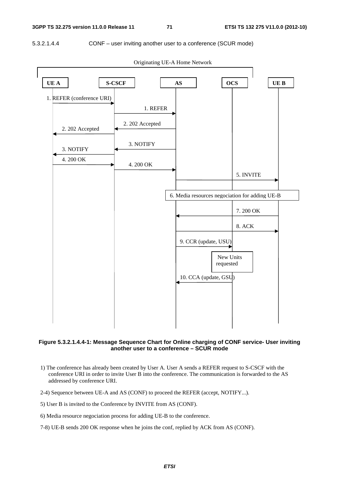5.3.2.1.4.4 CONF – user inviting another user to a conference (SCUR mode)



Originating UE-A Home Network

# **Figure 5.3.2.1.4.4-1: Message Sequence Chart for Online charging of CONF service- User inviting another user to a conference – SCUR mode**

- 1) The conference has already been created by User A. User A sends a REFER request to S-CSCF with the conference URI in order to invite User B into the conference. The communication is forwarded to the AS addressed by conference URI.
- 2-4) Sequence between UE-A and AS (CONF) to proceed the REFER (accept, NOTIFY...).
- 5) User B is invited to the Conference by INVITE from AS (CONF).
- 6) Media resource negociation process for adding UE-B to the conference.
- 7-8) UE-B sends 200 OK response when he joins the conf, replied by ACK from AS (CONF).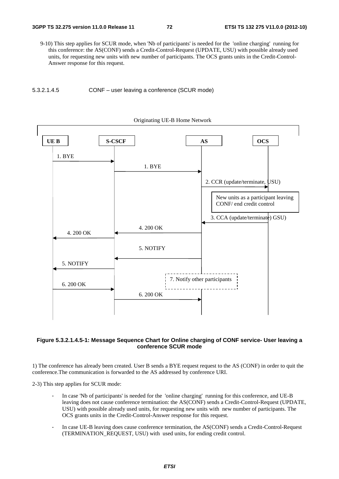9-10) This step applies for SCUR mode, when 'Nb of participants' is needed for the 'online charging' running for this conference: the AS(CONF) sends a Credit-Control-Request (UPDATE, USU) with possible already used units, for requesting new units with new number of participants. The OCS grants units in the Credit-Control-Answer response for this request.







#### **Figure 5.3.2.1.4.5-1: Message Sequence Chart for Online charging of CONF service- User leaving a conference SCUR mode**

1) The conference has already been created. User B sends a BYE request request to the AS (CONF) in order to quit the conference.The communication is forwarded to the AS addressed by conference URI.

2-3) This step applies for SCUR mode:

- In case 'Nb of participants' is needed for the 'online charging' running for this conference, and UE-B leaving does not cause conference termination: the AS(CONF) sends a Credit-Control-Request (UPDATE, USU) with possible already used units, for requesting new units with new number of participants. The OCS grants units in the Credit-Control-Answer response for this request.
- In case UE-B leaving does cause conference termination, the AS(CONF) sends a Credit-Control-Request (TERMINATION\_REQUEST, USU) with used units, for ending credit control.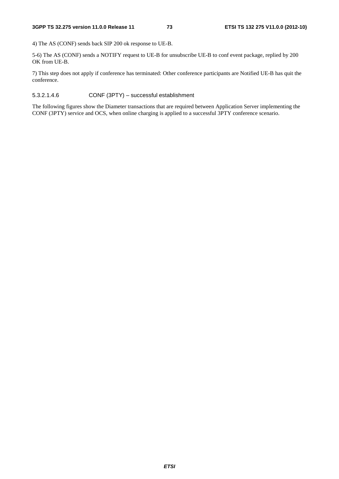4) The AS (CONF) sends back SIP 200 ok response to UE-B.

5-6) The AS (CONF) sends a NOTIFY request to UE-B for unsubscribe UE-B to conf event package, replied by 200 OK from UE-B.

7) This step does not apply if conference has terminated: Other conference participants are Notified UE-B has quit the conference.

#### 5.3.2.1.4.6 CONF (3PTY) – successful establishment

The following figures show the Diameter transactions that are required between Application Server implementing the CONF (3PTY) service and OCS, when online charging is applied to a successful 3PTY conference scenario.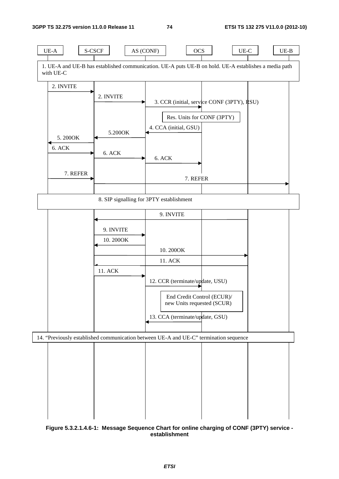

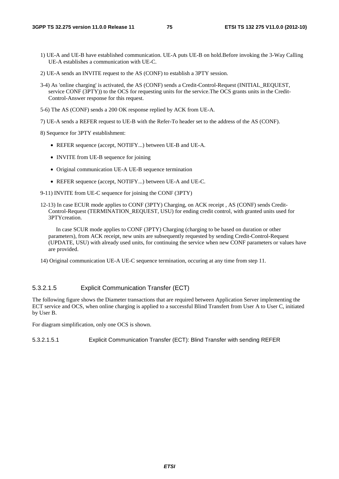- 1) UE-A and UE-B have established communication. UE-A puts UE-B on hold.Before invoking the 3-Way Calling UE-A establishes a communication with UE-C.
- 2) UE-A sends an INVITE request to the AS (CONF) to establish a 3PTY session.
- 3-4) As 'online charging' is activated, the AS (CONF) sends a Credit-Control-Request (INITIAL\_REQUEST, service CONF (3PTY)) to the OCS for requesting units for the service.The OCS grants units in the Credit-Control-Answer response for this request.
- 5-6) The AS (CONF) sends a 200 OK response replied by ACK from UE-A.
- 7) UE-A sends a REFER request to UE-B with the Refer-To header set to the address of the AS (CONF).

8) Sequence for 3PTY establishment:

- REFER sequence (accept, NOTIFY...) between UE-B and UE-A.
- INVITE from UE-B sequence for joining
- Original communication UE-A UE-B sequence termination
- REFER sequence (accept, NOTIFY...) between UE-A and UE-C.
- 9-11) INVITE from UE-C sequence for joining the CONF (3PTY)
- 12-13) In case ECUR mode applies to CONF (3PTY) Charging, on ACK receipt , AS (CONF) sends Credit-Control-Request (TERMINATION\_REQUEST, USU) for ending credit control, with granted units used for 3PTYcreation.

 In case SCUR mode applies to CONF (3PTY) Charging (charging to be based on duration or other parameters), from ACK receipt, new units are subsequently requested by sending Credit-Control-Request (UPDATE, USU) with already used units, for continuing the service when new CONF parameters or values have are provided.

14) Original communication UE-A UE-C sequence termination, occuring at any time from step 11.

#### 5.3.2.1.5 Explicit Communication Transfer (ECT)

The following figure shows the Diameter transactions that are required between Application Server implementing the ECT service and OCS, when online charging is applied to a successful Blind Transfert from User A to User C, initiated by User B.

For diagram simplification, only one OCS is shown.

5.3.2.1.5.1 Explicit Communication Transfer (ECT): Blind Transfer with sending REFER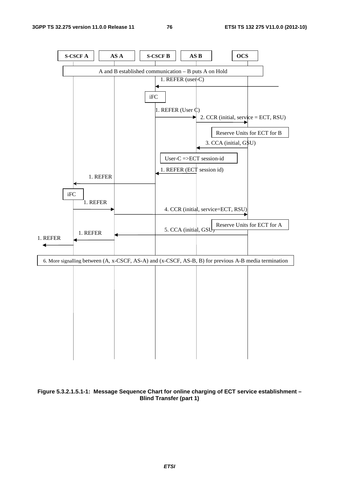

**Figure 5.3.2.1.5.1-1: Message Sequence Chart for online charging of ECT service establishment – Blind Transfer (part 1)**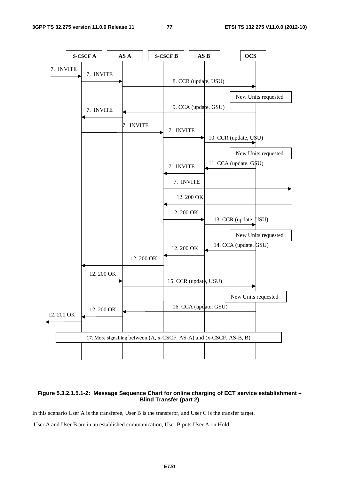

#### **Figure 5.3.2.1.5.1-2: Message Sequence Chart for online charging of ECT service establishment – Blind Transfer (part 2)**

In this scenario User A is the transferee, User B is the transferor, and User C is the transfer target.

User A and User B are in an established communication, User B puts User A on Hold.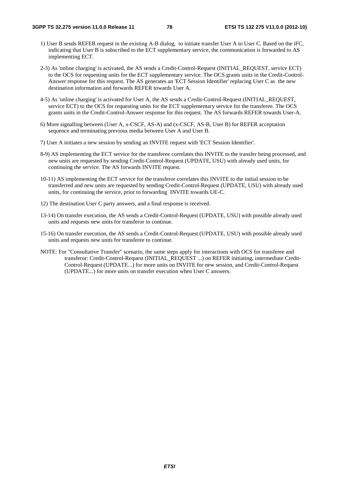- 1) User B sends REFER request in the existing A-B dialog, to initiate transfer User A to User C. Based on the iFC, indicating that User B is subscribed to the ECT supplementary service, the communication is forwarded to AS implementing ECT.
- 2-3) As 'online charging' is activated, the AS sends a Credit-Control-Request (INITIAL\_REQUEST, service ECT) to the OCS for requesting units for the ECT supplementary service. The OCS grants units in the Credit-Control-Answer response for this request. The AS generates an 'ECT Session Identifier' replacing User C as the new destination information and forwards REFER towards User A.
- 4-5) As 'online charging' is activated for User A, the AS sends a Credit-Control-Request (INITIAL\_REQUEST, service ECT) to the OCS for requesting units for the ECT supplementary service for the transferee. The OCS grants units in the Credit-Control-Answer response for this request. The AS forwards REFER towards User-A.
- 6) More signalling between (User A, x-CSCF, AS-A) and (x-CSCF, AS-B, User B) for REFER acceptation sequence and terminating previous media between User A and User B.
- 7) User A initiates a new session by sending an INVITE request with 'ECT Session Identifier'.
- 8-9) AS implementing the ECT service for the transferee correlates this INVITE to the transfer being processed, and new units are requested by sending Credit-Control-Request (UPDATE, USU) with already used units, for continuing the service. The AS forwards INVITE request.
- 10-11) AS implementing the ECT service for the transferor correlates this INVITE to the initial session to be transferred and new units are requested by sending Credit-Control-Request (UPDATE, USU) with already used units, for continuing the service, prior to forwarding INVITE towards UE-C.
- 12) The destination User C party answers, and a final response is received.
- 13-14) On transfer execution, the AS sends a Credit-Control-Request (UPDATE, USU) with possible already used units and requests new units for transferor to continue.
- 15-16) On transfer execution, the AS sends a Credit-Control-Request (UPDATE, USU) with possible already used units and requests new units for transferee to continue.
- NOTE: For "Consultative Transfer" scenario, the same steps apply for interactions with OCS for transferee and transferor: Credit-Control-Request (INITIAL\_REQUEST ...) on REFER initiating, intermediate Credit-Control-Request (UPDATE...) for more units on INVITE for new session, and Credit-Control-Request (UPDATE...) for more units on transfer execution when User C answers.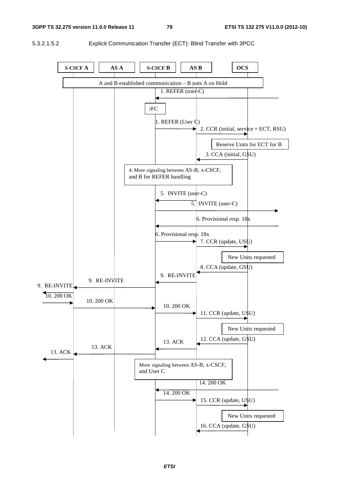#### **3GPP TS 32.275 version 11.0.0 Release 11 79 ETSI TS 132 275 V11.0.0 (2012-10)**

5.3.2.1.5.2 Explicit Communication Transfer (ECT): Blind Transfer with 3PCC

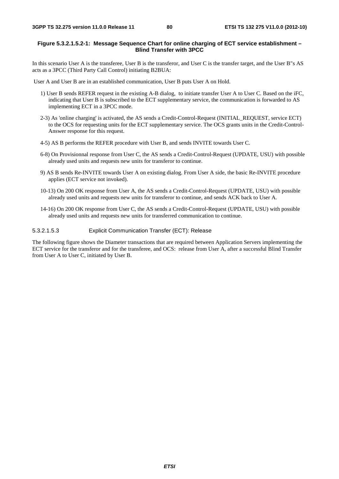#### **Figure 5.3.2.1.5.2-1: Message Sequence Chart for online charging of ECT service establishment – Blind Transfer with 3PCC**

In this scenario User A is the transferee, User B is the transferor, and User C is the transfer target, and the User B"s AS acts as a 3PCC (Third Party Call Control) initiating B2BUA:

User A and User B are in an established communication, User B puts User A on Hold.

- 1) User B sends REFER request in the existing A-B dialog, to initiate transfer User A to User C. Based on the iFC, indicating that User B is subscribed to the ECT supplementary service, the communication is forwarded to AS implementing ECT in a 3PCC mode.
- 2-3) As 'online charging' is activated, the AS sends a Credit-Control-Request (INITIAL\_REQUEST, service ECT) to the OCS for requesting units for the ECT supplementary service. The OCS grants units in the Credit-Control-Answer response for this request.
- 4-5) AS B performs the REFER procedure with User B, and sends INVITE towards User C.
- 6-8) On Provisionnal response from User C, the AS sends a Credit-Control-Request (UPDATE, USU) with possible already used units and requests new units for transferor to continue.
- 9) AS B sends Re-INVITE towards User A on existing dialog. From User A side, the basic Re-INVITE procedure applies (ECT service not invoked).
- 10-13) On 200 OK response from User A, the AS sends a Credit-Control-Request (UPDATE, USU) with possible already used units and requests new units for transferor to continue, and sends ACK back to User A.
- 14-16) On 200 OK response from User C, the AS sends a Credit-Control-Request (UPDATE, USU) with possible already used units and requests new units for transferred communication to continue.

5.3.2.1.5.3 Explicit Communication Transfer (ECT): Release

The following figure shows the Diameter transactions that are required between Application Servers implementing the ECT service for the transferor and for the transferee, and OCS: release from User A, after a successful Blind Transfer from User A to User C, initiated by User B.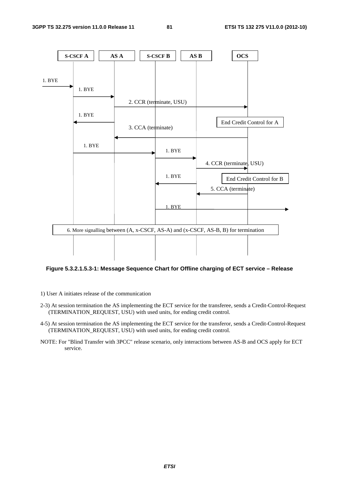

#### **Figure 5.3.2.1.5.3-1: Message Sequence Chart for Offline charging of ECT service – Release**

- 1) User A initiates release of the communication
- 2-3) At session termination the AS implementing the ECT service for the transferee, sends a Credit-Control-Request (TERMINATION\_REQUEST, USU) with used units, for ending credit control.
- 4-5) At session termination the AS implementing the ECT service for the transferor, sends a Credit-Control-Request (TERMINATION\_REQUEST, USU) with used units, for ending credit control.
- NOTE: For "Blind Transfer with 3PCC" release scenario, only interactions between AS-B and OCS apply for ECT service.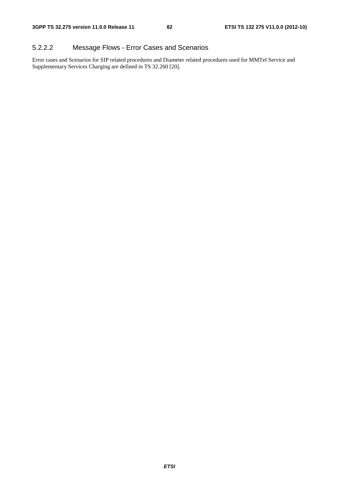#### 5.2.2.2 Message Flows - Error Cases and Scenarios

Error cases and Scenarios for SIP related procedures and Diameter related procedures used for MMTel Service and Supplementary Services Charging are defined in TS 32.260 [20].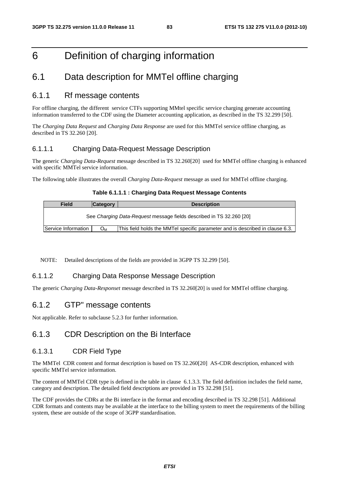# 6 Definition of charging information

### 6.1 Data description for MMTel offline charging

#### 6.1.1 Rf message contents

For offline charging, the different service CTFs supporting MMtel specific service charging generate accounting information transferred to the CDF using the Diameter accounting application, as described in the TS 32.299 [50].

The *Charging Data Request* and *Charging Data Response* are used for this MMTel service offline charging, as described in TS 32.260 [20].

#### 6.1.1.1 Charging Data-Request Message Description

The generic *Charging Data-Request* message described in TS 32.260[20] used for MMTel offline charging is enhanced with specific MMTel service information.

The following table illustrates the overall *Charging Data-Request* message as used for MMTel offline charging.

#### **Table 6.1.1.1 : Charging Data Request Message Contents**

| <b>Field</b>        | <b>Category</b> | <b>Description</b>                                                            |
|---------------------|-----------------|-------------------------------------------------------------------------------|
|                     |                 | See Charging Data-Request message fields described in TS 32.260 [20]          |
| Service Information | Ом              | This field holds the MMTel specific parameter and is described in clause 6.3. |

NOTE: Detailed descriptions of the fields are provided in 3GPP TS 32.299 [50].

#### 6.1.1.2 Charging Data Response Message Description

The generic *Charging Data-Responset* message described in TS 32.260[20] is used for MMTel offline charging.

#### 6.1.2 GTP" message contents

Not applicable. Refer to subclause 5.2.3 for further information.

#### 6.1.3 CDR Description on the Bi Interface

#### 6.1.3.1 CDR Field Type

The MMTel CDR content and format description is based on TS 32.260[20] AS-CDR description, enhanced with specific MMTel service information.

The content of MMTel CDR type is defined in the table in clause 6.1.3.3. The field definition includes the field name, category and description. The detailed field descriptions are provided in TS 32.298 [51].

The CDF provides the CDRs at the Bi interface in the format and encoding described in TS 32.298 [51]. Additional CDR formats and contents may be available at the interface to the billing system to meet the requirements of the billing system, these are outside of the scope of 3GPP standardisation.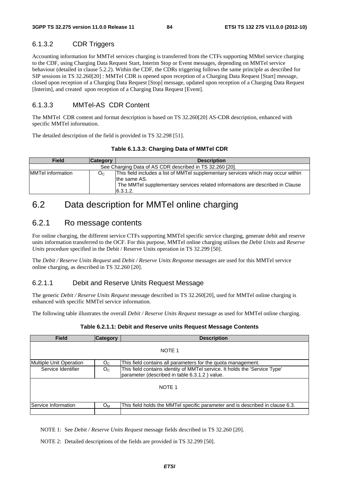#### 6.1.3.2 CDR Triggers

Accounting information for MMTel services charging is transferred from the CTFs supporting MMtel service charging to the CDF, using Charging Data Request Start, Interim Stop or Event messages, depending on MMTel service behaviour (detailed in clause 5.2.2). Within the CDF, the CDRs triggering follows the same principle as described for SIP sessions in TS 32.260[20] : MMTel CDR is opened upon reception of a Charging Data Request [Start] message, closed upon reception of a Charging Data Request [Stop] message, updated upon reception of a Charging Data Request [Interim], and created upon reception of a Charging Data Request [Event].

#### 6.1.3.3 MMTel-AS CDR Content

The MMTel CDR content and format description is based on TS 32.260[20] AS-CDR description, enhanced with specific MMTel information.

The detailed description of the field is provided in TS 32.298 [51].

#### **Table 6.1.3.3: Charging Data of MMTel CDR**

| <b>Field</b>       | <b>Category</b> | <b>Description</b>                                                                                                                                                                             |
|--------------------|-----------------|------------------------------------------------------------------------------------------------------------------------------------------------------------------------------------------------|
|                    |                 | See Charging Data of AS CDR described in TS 32.260 [20].                                                                                                                                       |
| IMMTel information | Oc.             | This field includes a list of MMTel supplementary services which may occur within<br>the same AS.<br>The MMTel supplementary services related informations are described in Clause<br>6.3.1.2. |

### 6.2 Data description for MMTel online charging

#### 6.2.1 Ro message contents

For online charging, the different service CTFs supporting MMTel specific service charging, generate debit and reserve units information transferred to the OCF. For this purpose, MMTel online charging utilises the *Debit Units* and *Reserve Units* procedure specified in the Debit / Reserve Units operation in TS 32.299 [50].

The *Debit / Reserve Units Request* and *Debit / Reserve Units Response* messages are used for this MMTel service online charging, as described in TS 32.260 [20].

#### 6.2.1.1 Debit and Reserve Units Request Message

The generic *Debit / Reserve Units Request* message described in TS 32.260[20], used for MMTel online charging is enhanced with specific MMTel service information.

The following table illustrates the overall *Debit / Reserve Units Request* message as used for MMTel online charging.

| <b>Field</b>                   | <b>Category</b> | <b>Description</b>                                                                                                          |
|--------------------------------|-----------------|-----------------------------------------------------------------------------------------------------------------------------|
|                                |                 | NOTE 1                                                                                                                      |
| <b>Multiple Unit Operation</b> | O <sub>C</sub>  | This field contains all parameters for the quota management.                                                                |
| Service Identifier             | O <sub>C</sub>  | This field contains identity of MMTel service. It holds the 'Service Type'<br>parameter (described in table 6.3.1.2) value. |
|                                |                 | NOTE <sub>1</sub>                                                                                                           |
| Service Information            | $O_{M}$         | This field holds the MMTel specific parameter and is described in clause 6.3.                                               |
|                                |                 |                                                                                                                             |

#### **Table 6.2.1.1: Debit and Reserve units Request Message Contents**

NOTE 1: See *Debit / Reserve Units Request* message fields described in TS 32.260 [20].

NOTE 2: Detailed descriptions of the fields are provided in TS 32.299 [50].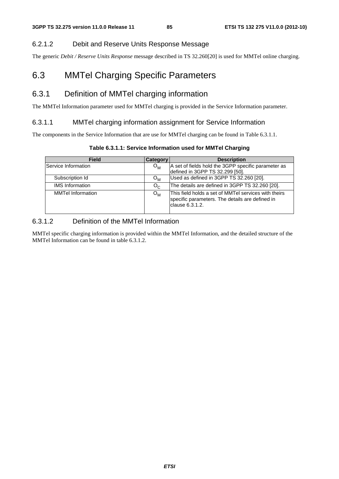#### 6.2.1.2 Debit and Reserve Units Response Message

The generic *Debit / Reserve Units Response* message described in TS 32.260[20] is used for MMTel online charging.

## 6.3 MMTel Charging Specific Parameters

### 6.3.1 Definition of MMTel charging information

The MMTel Information parameter used for MMTel charging is provided in the Service Information parameter.

#### 6.3.1.1 MMTel charging information assignment for Service Information

The components in the Service Information that are use for MMTel charging can be found in Table 6.3.1.1.

#### **Table 6.3.1.1: Service Information used for MMTel Charging**

| <b>Field</b>             | Category         | <b>Description</b>                                                                                                         |
|--------------------------|------------------|----------------------------------------------------------------------------------------------------------------------------|
| Service Information      | $O_{\mathsf{M}}$ | A set of fields hold the 3GPP specific parameter as<br>defined in 3GPP TS 32.299 [50].                                     |
| Subscription Id          | $O_{M}$          | Used as defined in 3GPP TS 32.260 [20].                                                                                    |
| <b>IMS</b> Information   | $O_{C}$          | The details are defined in 3GPP TS 32.260 [20].                                                                            |
| <b>MMTel Information</b> | $O_{M}$          | This field holds a set of MMTel services with theirs<br>specific parameters. The details are defined in<br>clause 6.3.1.2. |

#### 6.3.1.2 Definition of the MMTel Information

MMTel specific charging information is provided within the MMTel Information, and the detailed structure of the MMTel Information can be found in table 6.3.1.2.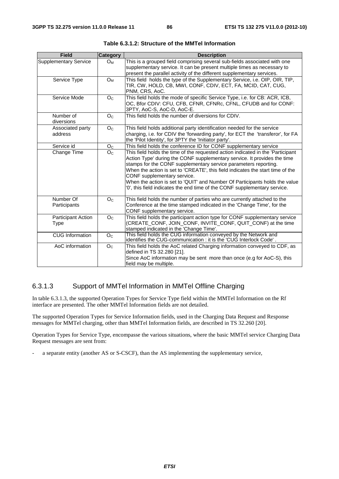| <b>Field</b>                      | <b>Category</b> | <b>Description</b>                                                                                                                                                                                                                                                                                                                                                                                                                                                                                          |
|-----------------------------------|-----------------|-------------------------------------------------------------------------------------------------------------------------------------------------------------------------------------------------------------------------------------------------------------------------------------------------------------------------------------------------------------------------------------------------------------------------------------------------------------------------------------------------------------|
| <b>Supplementary Service</b>      | $O_M$           | This is a grouped field comprising several sub-fields associated with one<br>supplementary service. It can be present multiple times as necessary to<br>present the parallel activity of the different supplementary services.                                                                                                                                                                                                                                                                              |
| Service Type                      | $O_M$           | This field holds the type of the Supplementary Service, i.e. OIP, OIR, TIP,<br>TIR, CW, HOLD, CB, MWI, CONF, CDIV, ECT, FA, MCID, CAT, CUG,<br>PNM, CRS, AoC.                                                                                                                                                                                                                                                                                                                                               |
| Service Mode                      | O <sub>C</sub>  | This field holds the mode of specific Service Type, i.e. for CB: ACR, ICB,<br>OC, Bfor CDIV: CFU, CFB, CFNR, CFNRc, CFNL, CFUDB and for CONF:<br>3PTY, AoC-S, AoC-D, AoC-E.                                                                                                                                                                                                                                                                                                                                 |
| Number of<br>diversions           | O <sub>C</sub>  | This field holds the number of diversions for CDIV.                                                                                                                                                                                                                                                                                                                                                                                                                                                         |
| Associated party<br>address       | O <sub>C</sub>  | This field holds additional party identification needed for the service<br>charging, i.e. for CDIV the 'forwarding party', for ECT the 'transferor', for FA<br>the 'Pilot Identity', for 3PTY the 'Initiator party'.                                                                                                                                                                                                                                                                                        |
| Service id                        | O <sub>C</sub>  | This field holds the conference ID for CONF supplementary service                                                                                                                                                                                                                                                                                                                                                                                                                                           |
| Change Time                       | O <sub>C</sub>  | This field holds the time of the requested action indicated in the 'Participant<br>Action Type' during the CONF supplementary service. It provides the time<br>stamps for the CONF supplementary service parameters reporting.<br>When the action is set to 'CREATE', this field indicates the start time of the<br>CONF supplementary service.<br>When the action is set to 'QUIT' and Number Of Participants holds the value<br>'0', this field indicates the end time of the CONF supplementary service. |
| Number Of<br>Participants         | O <sub>C</sub>  | This field holds the number of parties who are currently attached to the<br>Conference at the time stamped indicated in the 'Change Time', for the<br>CONF supplementary service.                                                                                                                                                                                                                                                                                                                           |
| <b>Participant Action</b><br>Type | O <sub>C</sub>  | This field holds the participant action type for CONF supplementary service<br>(CREATE_CONF, JOIN_CONF, INVITE_CONF, QUIT_CONF) at the time<br>stamped indicated in the 'Change Time'.                                                                                                                                                                                                                                                                                                                      |
| <b>CUG</b> Information            | O <sub>C</sub>  | This field holds the CUG information conveyed by the Network and<br>identifies the CUG-communication : it is the 'CUG Interlock Code'.                                                                                                                                                                                                                                                                                                                                                                      |
| AoC information                   | O <sub>C</sub>  | This field holds the AoC related Charging information conveyed to CDF, as<br>defined in TS 32.280 [21].<br>Since AoC information may be sent more than once (e.g for AoC-S), this<br>field may be multiple.                                                                                                                                                                                                                                                                                                 |

**Table 6.3.1.2: Structure of the MMTel Information** 

#### 6.3.1.3 Support of MMTel Information in MMTel Offline Charging

In table 6.3.1.3, the supported Operation Types for Service Type field within the MMTel Information on the Rf interface are presented. The other MMTel Information fields are not detailed.

The supported Operation Types for Service Information fields, used in the Charging Data Request and Response messages for MMTel charging, other than MMTel Information fields, are described in TS 32.260 [20].

Operation Types for Service Type, encompasse the various situations, where the basic MMTel service Charging Data Request messages are sent from:

a separate entity (another AS or S-CSCF), than the AS implementing the supplementary service,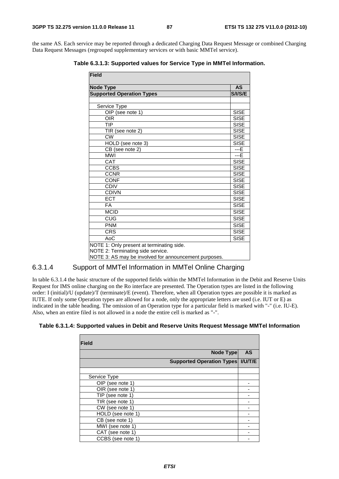the same AS. Each service may be reported through a dedicated Charging Data Request Message or combined Charging Data Request Messages (regrouped supplementary services or with basic MMTel service).

**Table 6.3.1.3: Supported values for Service Type in MMTel Information.** 

| <b>Field</b>                                                                                                                            |             |  |  |  |  |  |
|-----------------------------------------------------------------------------------------------------------------------------------------|-------------|--|--|--|--|--|
| <b>AS</b><br><b>Node Type</b>                                                                                                           |             |  |  |  |  |  |
| <b>Supported Operation Types</b>                                                                                                        |             |  |  |  |  |  |
|                                                                                                                                         |             |  |  |  |  |  |
| Service Type                                                                                                                            |             |  |  |  |  |  |
| OIP (see note 1)                                                                                                                        | <b>SISE</b> |  |  |  |  |  |
| OIR                                                                                                                                     | <b>SISE</b> |  |  |  |  |  |
| <b>TIP</b>                                                                                                                              | <b>SISE</b> |  |  |  |  |  |
| TIR (see note 2)                                                                                                                        | <b>SISE</b> |  |  |  |  |  |
| <b>CW</b>                                                                                                                               | <b>SISE</b> |  |  |  |  |  |
| HOLD (see note 3)                                                                                                                       | <b>SISE</b> |  |  |  |  |  |
| CB (see note 2)                                                                                                                         | ---E        |  |  |  |  |  |
| <b>MWI</b>                                                                                                                              | $---E$      |  |  |  |  |  |
| CAT                                                                                                                                     | <b>SISE</b> |  |  |  |  |  |
| <b>CCBS</b>                                                                                                                             | <b>SISE</b> |  |  |  |  |  |
| <b>CCNR</b>                                                                                                                             | <b>SISE</b> |  |  |  |  |  |
| <b>CONF</b>                                                                                                                             | <b>SISE</b> |  |  |  |  |  |
| <b>CDIV</b>                                                                                                                             | <b>SISE</b> |  |  |  |  |  |
| <b>CDIVN</b>                                                                                                                            | <b>SISE</b> |  |  |  |  |  |
| <b>ECT</b>                                                                                                                              | <b>SISE</b> |  |  |  |  |  |
| <b>FA</b>                                                                                                                               | <b>SISE</b> |  |  |  |  |  |
| <b>MCID</b>                                                                                                                             | <b>SISE</b> |  |  |  |  |  |
| CUG                                                                                                                                     | <b>SISE</b> |  |  |  |  |  |
| <b>PNM</b>                                                                                                                              | <b>SISE</b> |  |  |  |  |  |
| <b>CRS</b>                                                                                                                              | <b>SISE</b> |  |  |  |  |  |
| AoC                                                                                                                                     | <b>SISE</b> |  |  |  |  |  |
| NOTE 1: Only present at terminating side.<br>NOTE 2: Terminating side service.<br>NOTE 3: AS may be involved for announcement purposes. |             |  |  |  |  |  |

#### 6.3.1.4 Support of MMTel Information in MMTel Online Charging

In table 6.3.1.4 the basic structure of the supported fields within the MMTel Information in the Debit and Reserve Units Request for IMS online charging on the Ro interface are presented. The Operation types are listed in the following order: I (initial)/U (update)/T (terminate)/E (event). Therefore, when all Operation types are possible it is marked as IUTE. If only some Operation types are allowed for a node, only the appropriate letters are used (i.e. IUT or E) as indicated in the table heading. The omission of an Operation type for a particular field is marked with "-" (i.e. IU-E). Also, when an entire filed is not allowed in a node the entire cell is marked as "-".

**Table 6.3.1.4: Supported values in Debit and Reserve Units Request Message MMTel Information** 

| <b>Field</b>      |                                     |           |
|-------------------|-------------------------------------|-----------|
|                   | Node Type                           | <b>AS</b> |
|                   | Supported Operation Types   I/U/T/E |           |
|                   |                                     |           |
| Service Type      |                                     |           |
| OIP (see note 1)  |                                     |           |
| OIR (see note 1)  |                                     |           |
| TIP (see note 1)  |                                     |           |
| TIR (see note 1)  |                                     |           |
| CW (see note 1)   |                                     |           |
| HOLD (see note 1) |                                     |           |
| CB (see note 1)   |                                     |           |
| MWI (see note 1)  |                                     |           |
| CAT (see note 1)  |                                     |           |
| CCBS (see note 1) |                                     |           |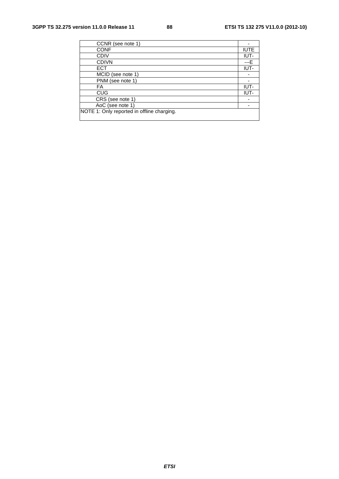| CCNR (see note 1)                          |             |
|--------------------------------------------|-------------|
| <b>CONF</b>                                | <b>IUTE</b> |
| <b>CDIV</b>                                | IUT-        |
| <b>CDIVN</b>                               | ---F        |
| <b>ECT</b>                                 | IUT-        |
| MCID (see note 1)                          |             |
| PNM (see note 1)                           |             |
| FA                                         | IUT-        |
| <b>CUG</b>                                 | IUT-        |
| CRS (see note 1)                           |             |
| AoC (see note 1)                           |             |
| NOTE 1: Only reported in offline charging. |             |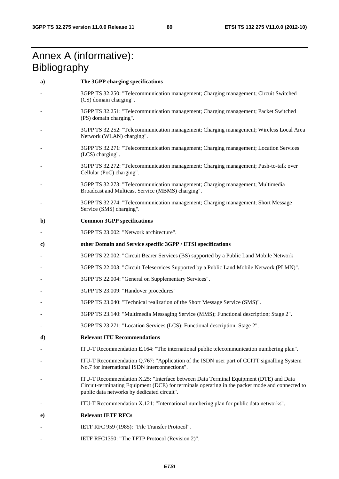# Annex A (informative): **Bibliography**

| a)           | The 3GPP charging specifications                                                                                                                                                                                                       |
|--------------|----------------------------------------------------------------------------------------------------------------------------------------------------------------------------------------------------------------------------------------|
|              | 3GPP TS 32.250: "Telecommunication management; Charging management; Circuit Switched<br>(CS) domain charging".                                                                                                                         |
|              | 3GPP TS 32.251: "Telecommunication management; Charging management; Packet Switched<br>(PS) domain charging".                                                                                                                          |
|              | 3GPP TS 32.252: "Telecommunication management; Charging management; Wireless Local Area<br>Network (WLAN) charging".                                                                                                                   |
|              | 3GPP TS 32.271: "Telecommunication management; Charging management; Location Services<br>(LCS) charging".                                                                                                                              |
|              | 3GPP TS 32.272: "Telecommunication management; Charging management; Push-to-talk over<br>Cellular (PoC) charging".                                                                                                                     |
|              | 3GPP TS 32.273: "Telecommunication management; Charging management; Multimedia<br>Broadcast and Multicast Service (MBMS) charging".                                                                                                    |
|              | 3GPP TS 32.274: "Telecommunication management; Charging management; Short Message<br>Service (SMS) charging".                                                                                                                          |
| $\mathbf{b}$ | <b>Common 3GPP specifications</b>                                                                                                                                                                                                      |
|              | 3GPP TS 23.002: "Network architecture".                                                                                                                                                                                                |
| $\bf c)$     | other Domain and Service specific 3GPP / ETSI specifications                                                                                                                                                                           |
|              | 3GPP TS 22.002: "Circuit Bearer Services (BS) supported by a Public Land Mobile Network                                                                                                                                                |
|              | 3GPP TS 22.003: "Circuit Teleservices Supported by a Public Land Mobile Network (PLMN)".                                                                                                                                               |
|              | 3GPP TS 22.004: "General on Supplementary Services".                                                                                                                                                                                   |
|              | 3GPP TS 23.009: "Handover procedures"                                                                                                                                                                                                  |
|              | 3GPP TS 23.040: "Technical realization of the Short Message Service (SMS)".                                                                                                                                                            |
|              | 3GPP TS 23.140: "Multimedia Messaging Service (MMS); Functional description; Stage 2".                                                                                                                                                 |
|              | 3GPP TS 23.271: "Location Services (LCS); Functional description; Stage 2".                                                                                                                                                            |
| d)           | <b>Relevant ITU Recommendations</b>                                                                                                                                                                                                    |
|              | ITU-T Recommendation E.164: "The international public telecommunication numbering plan".                                                                                                                                               |
|              | ITU-T Recommendation Q.767: "Application of the ISDN user part of CCITT signalling System<br>No.7 for international ISDN interconnections".                                                                                            |
|              | ITU-T Recommendation X.25: "Interface between Data Terminal Equipment (DTE) and Data<br>Circuit-terminating Equipment (DCE) for terminals operating in the packet mode and connected to<br>public data networks by dedicated circuit". |
|              | ITU-T Recommendation X.121: "International numbering plan for public data networks".                                                                                                                                                   |
| e)           | <b>Relevant IETF RFCs</b>                                                                                                                                                                                                              |
|              | IETF RFC 959 (1985): "File Transfer Protocol".                                                                                                                                                                                         |

- IETF RFC1350: "The TFTP Protocol (Revision 2)".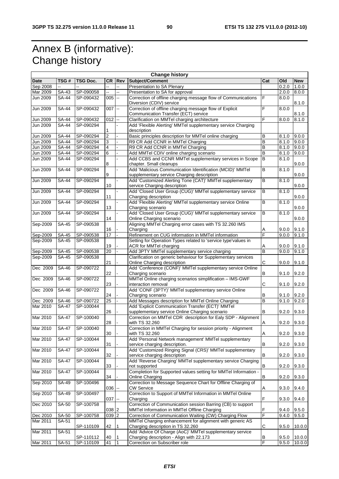# Annex B (informative): Change history

| <b>Change history</b> |                    |                 |                         |                          |                                                                 |                |       |            |
|-----------------------|--------------------|-----------------|-------------------------|--------------------------|-----------------------------------------------------------------|----------------|-------|------------|
| Date                  | TSG#               | TSG Doc.        | CR                      | <b>Rev</b>               | Subject/Comment                                                 | Cat            | Old   | <b>New</b> |
| Sep 2008              |                    |                 | Ξ.                      | --                       | Presentation to SA Plenary                                      |                | 0.2.0 | 1.0.0      |
| Mar 2009              | SA-43              | SP-090058       | Щ.                      | u.                       | Presentation to SA for approval                                 |                | 2.0.0 | 8.0.0      |
| Jun 2009              | SA-44              | SP-090432       | $005 -$                 |                          | Correction of offline charging message flow of Communications   | F              | 8.0.0 |            |
|                       |                    |                 |                         |                          | Diversion (CDIV) service                                        |                |       | 8.1.0      |
| Jun 2009              | $SA-44$            | SP-090432       | 007                     | $\bar{\phantom{a}}$      | Correction of offline charging message flow of Explicit         | F              | 8.0.0 |            |
|                       |                    |                 |                         |                          | Communication Transfer (ECT) service                            |                |       | 8.1.0      |
| Jun 2009              | SA-44              | SP-090432       | 012                     | $\ddotsc$                | Clarification on MMTel charging architecture                    | F              | 8.0.0 | 8.1.0      |
| Jun 2009              | <b>SA-44</b>       | SP-090294       |                         |                          | Add 'Flexible Alerting' MMTel supplementary service Charging    |                |       |            |
|                       |                    |                 | 1                       |                          | description                                                     |                |       |            |
| <b>Jun 2009</b>       | $\overline{SA-44}$ | SP-090294       | $\overline{\mathbf{c}}$ |                          | Basic principles description for MMTel online charging          | B              | 8.1.0 | 9.0.0      |
| Jun 2009              | <b>SA-44</b>       | SP-090294       | 3                       |                          | R9 CR Add CCNR in MMTel Charging                                | B              | 8.1.0 | 9.0.0      |
| Jun 2009              | SA-44              | SP-090294       | 4                       |                          | R9 CR Add CCNR in MMTel Charging                                | B              | 8.1.0 | 9.0.0      |
| Jun 2009              | SA-44              | SP-090294       | 6                       |                          | Add MMTel CDIV online charging scenario                         | B              | 8.1.0 | 9.0.0      |
| <b>Jun 2009</b>       | SA-44              | SP-090294       |                         |                          | Add CCBS and CCNR MMTel supplementary services in Scope         | B              | 8.1.0 |            |
|                       |                    |                 | 8                       |                          | chapter. Small cleanups                                         |                |       | 9.0.0      |
| <b>Jun 2009</b>       | <b>SA-44</b>       | SP-090294       |                         |                          | Add 'Malicious Communication Identification (MCID)' MMTel       | В              | 8.1.0 |            |
|                       |                    |                 | 9                       |                          | supplementary service Charging description                      |                |       | 9.0.0      |
| <b>Jun 2009</b>       | <b>SA-44</b>       | SP-090294       |                         |                          | Add 'Customized Alerting Tone (CAT)' MMTel supplementary        | $\overline{B}$ | 8.1.0 |            |
|                       |                    |                 | 10                      |                          | service Charging description                                    |                |       | 9.0.0      |
| Jun 2009              | SA-44              | SP-090294       |                         |                          | Add 'Closed User Group (CUG)' MMTel supplementary service       | B              | 8.1.0 |            |
|                       |                    |                 | 11                      |                          | Charging description                                            |                |       | 9.0.0      |
| Jun 2009              | <b>SA-44</b>       | SP-090294       |                         |                          | Add 'Flexible Alerting' MMTel supplementary service Online      | B              | 8.1.0 |            |
|                       |                    |                 | 13                      |                          | Charging scenario                                               |                |       | 9.0.0      |
| <b>Jun 2009</b>       | SA-44              | SP-090294       |                         |                          | Add 'Closed User Group (CUG)' MMTel supplementary service       | B              | 8.1.0 |            |
|                       |                    |                 | 14                      |                          | Online Charging scenario                                        |                |       | 9.0.0      |
| Sep-2009              | <b>SA-45</b>       | SP-090538       |                         |                          | Aligning MMTel Charging error cases with TS 32.260 IMS          |                |       |            |
|                       |                    |                 | 16                      |                          | Charging                                                        | A              | 9.0.0 | 9.1.0      |
| Sep-2009              | SA-45              | SP-090538       | 17                      |                          | Refinement on CUG information in MMTel information              | F              | 9.0.0 | 9.1.0      |
| Sep-2009              | SA-45              | SP-090538       |                         |                          | Setting for Operation Types related to 'service type'values in  |                |       |            |
|                       |                    |                 | 19                      |                          | ACR for MMTel charging                                          | Α              | 9.0.0 | 9.1.0      |
| Sep-2009              | SA-45              | SP-090538       | 20                      |                          | Add 3PTY MMTel supplementary service charging                   | B              | 9.0.0 | 9.1.0      |
| Sep-2009              | SA-45              | SP-090538       |                         |                          | Clarification on generic behaviour for Supplementary services   |                |       |            |
|                       |                    |                 | 21                      |                          | Online Charging description                                     | C              | 9.0.0 | 9.1.0      |
| Dec 2009              | SA-46              | SP-090722       |                         |                          | Add 'Conference (CONF)' MMTel supplementary service Online      |                |       |            |
|                       |                    |                 | 22                      |                          | Charging scenario                                               | в              | 9.1.0 | 9.2.0      |
| Dec 2009              | SA-46              | SP-090722       |                         |                          | MMTel Online charging scenarios simplification - IMS-GWF        |                |       |            |
|                       |                    |                 | 23                      |                          | interaction removal                                             | С              | 9.1.0 | 9.2.0      |
| Dec 2009              | SA-46              | SP-090722       |                         |                          | Add 'CONF (3PTY)' MMTel supplementary service Online            |                |       |            |
|                       |                    |                 | 24                      |                          | Charging scenario                                               | в              | 9.1.0 | 9.2.0      |
| Dec 2009              | SA-46              | SP-090722       | $\overline{25}$         |                          | Add Messages description for MMTel Online Charging              | B              | 9.1.0 | 9.2.0      |
| Mar 2010              | <b>SA-47</b>       | SP-100044       |                         |                          | Add 'Explicit Communication Transfer (ECT)' MMTel               |                |       |            |
|                       |                    |                 | 26                      |                          | supplementary service Online Charging scenario                  | В              | 9.2.0 | 9.3.0      |
| Mar 2010              | <b>SA-47</b>       | SP-100040       |                         |                          | Correction on MMTel CDR description for Ealy SDP - Alignment    |                |       |            |
|                       |                    |                 | 28                      |                          | with TS 32.260                                                  | A              | 9.2.0 | 9.3.0      |
| Mar 2010              |                    | SA-47 SP-100040 |                         |                          | Correction in MMTel Charging for session priority - Alignment   |                |       |            |
|                       |                    |                 | 30                      |                          | with TS 32.260                                                  | Α              | 9.2.0 | 9.3.0      |
| Mar 2010              | <b>SA-47</b>       | SP-100044       |                         |                          | Add 'Personal Network management' MMTel supplementary           |                |       |            |
|                       |                    |                 | 31                      |                          | service charging description.                                   | В              | 9.2.0 | 9.3.0      |
| Mar 2010              | <b>SA-47</b>       | SP-100044       |                         |                          | Add 'Customized Ringing Signal (CRS)' MMTel supplementary       |                |       |            |
|                       |                    |                 | 32                      |                          | service charging description                                    | B              | 9.2.0 | 9.3.0      |
| Mar 2010              | <b>SA-47</b>       | SP-100044       |                         |                          | Add 'Reverse Charging' MMTel supplementary service Charging     |                |       |            |
|                       |                    |                 | 33                      |                          | not supported                                                   | В              | 9.2.0 | 9.3.0      |
| Mar 2010              | $SA-47$            | SP-100044       |                         |                          | Completion for Supported values setting for MMTel Information - |                |       |            |
|                       |                    |                 | 34                      |                          | Online Charging                                                 | B              | 9.2.0 | 9.3.0      |
| Sep 2010              | SA-49              | SP-100496       |                         |                          | Correction to Message Sequence Chart for Offline Charging of    |                |       |            |
|                       |                    |                 | 036                     | $\overline{\phantom{a}}$ | CW Service                                                      | Α              | 9.3.0 | 9.4.0      |
| Sep 2010              | SA-49              | SP-100497       |                         |                          | Correction to Support of MMTel Information in MMTel Online      |                |       |            |
|                       |                    |                 | 037                     | $\overline{\phantom{a}}$ | Charging                                                        | F              | 9.3.0 | 9.4.0      |
| Dec 2010              | SA-50              | SP-100758       |                         |                          | Correction of Communication session Barring (CB) to support     |                |       |            |
|                       |                    |                 | 038 2                   |                          | MMTel Information in MMTel Offline Charging                     | F              | 9.4.0 | 9.5.0      |
| Dec 2010              | SA-50              | SP-100758       | 039 2                   |                          | Correction of Communication Waiting (CW) Charging Flow          | F              | 9.4.0 | 9.5.0      |
| Mar 2011              | SA-51              |                 |                         |                          | MMTel Charging enhancement for alignment with generic AS        |                |       |            |
|                       |                    | SP-110109       | 42                      | 1                        | Charging description in TS 32.260                               | С              | 9.5.0 | 10.0.0     |
| Mar 2011              | SA-51              |                 |                         |                          | Add 'Advice Of Charge (AoC)' MMTel supplementary service        |                |       |            |
|                       |                    | SP-110112       | 40                      | l 1                      | Charging description - Align with 22.173                        | B              | 9.5.0 | 10.0.0     |
| Mar 2011              | SA-51              | SP-110109       | 41                      | $\vert$ 1                | Correction on Subscriber role                                   | F              | 9.5.0 | 10.0.0     |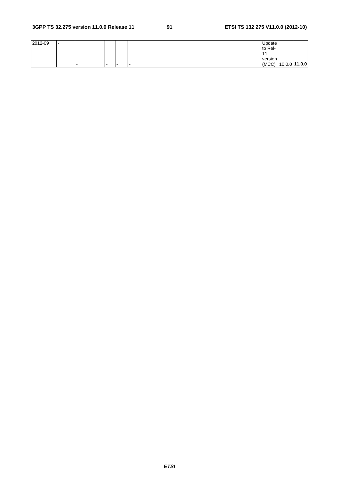| 2012-09 | . . |   |     |     | Update  |                     |  |
|---------|-----|---|-----|-----|---------|---------------------|--|
|         |     |   |     |     | to Rel- |                     |  |
|         |     |   |     |     |         |                     |  |
|         |     |   |     |     | version |                     |  |
|         |     | - | . . | . . |         | (MCC) 10.0.0 11.0.0 |  |